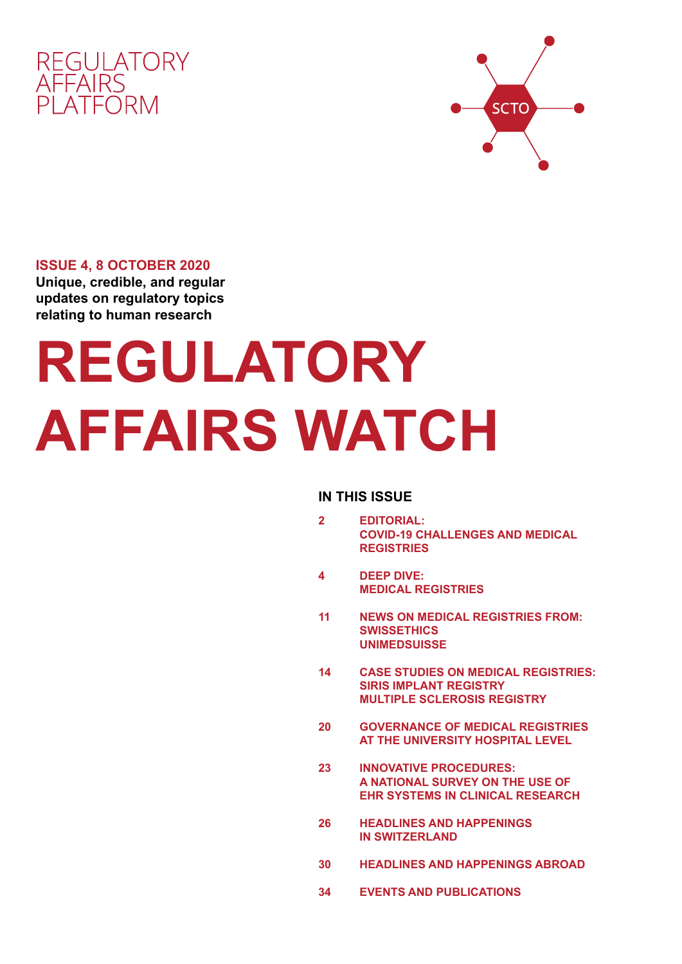



# **ISSUE 4, 8 OCTOBER 2020 Unique, credible, and regular updates on regulatory topics**

**relating to human research**

# **REGULATORY AFFAIRS WATCH**

# **IN THIS ISSUE**

- **2 EDITORIAL: COVID-19 CHALLENGES AND MEDICAL REGISTRIES**
- **4 DEEP DIVE: MEDICAL REGISTRIES**
- **11 NEWS ON MEDICAL REGISTRIES FROM: SWISSETHICS UNIMEDSUISSE**
- **14 CASE STUDIES ON MEDICAL REGISTRIES: SIRIS IMPLANT REGISTRY MULTIPLE SCLEROSIS REGISTRY**
- **20 GOVERNANCE OF MEDICAL REGISTRIES AT THE UNIVERSITY HOSPITAL LEVEL**
- **23 INNOVATIVE PROCEDURES: A NATIONAL SURVEY ON THE USE OF EHR SYSTEMS IN CLINICAL RESEARCH**
- **26 HEADLINES AND HAPPENINGS IN SWITZERLAND**
- **30 HEADLINES AND HAPPENINGS ABROAD**
- **34 EVENTS AND PUBLICATIONS**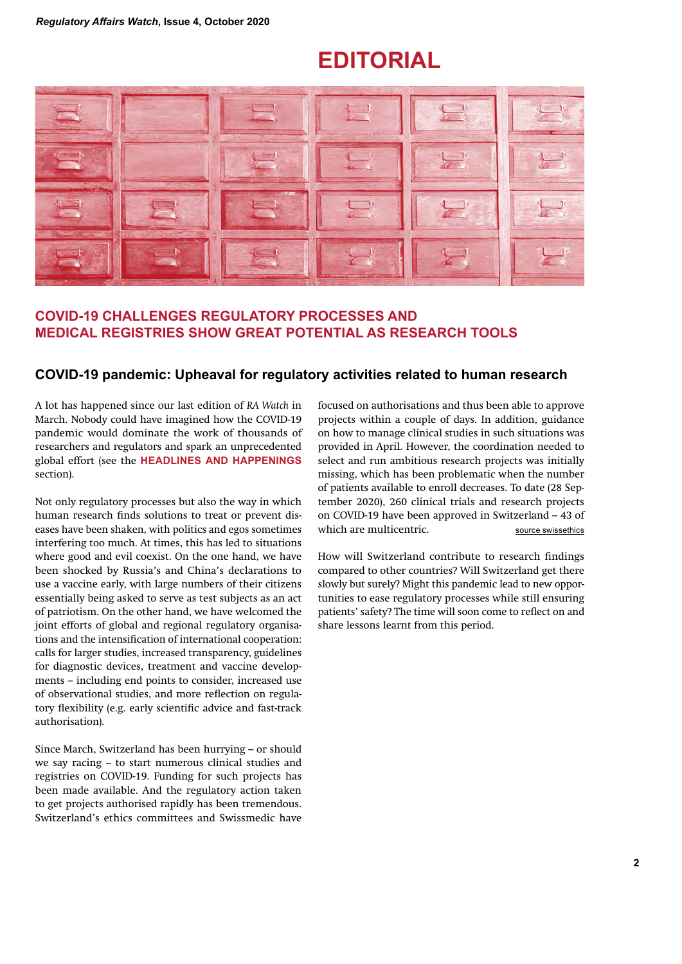# **EDITORIAL**



# **COVID-19 CHALLENGES REGULATORY PROCESSES AND MEDICAL REGISTRIES SHOW GREAT POTENTIAL AS RESEARCH TOOLS**

# **COVID-19 pandemic: Upheaval for regulatory activities related to human research**

A lot has happened since our last edition of *RA Watch* in March. Nobody could have imagined how the COVID-19 pandemic would dominate the work of thousands of researchers and regulators and spark an unprecedented global effort (see the **HEADLINES AND HAPPENINGS** section).

Not only regulatory processes but also the way in which human research finds solutions to treat or prevent diseases have been shaken, with politics and egos sometimes interfering too much. At times, this has led to situations where good and evil coexist. On the one hand, we have been shocked by Russia's and China's declarations to use a vaccine early, with large numbers of their citizens essentially being asked to serve as test subjects as an act of patriotism. On the other hand, we have welcomed the joint efforts of global and regional regulatory organisations and the intensification of international cooperation: calls for larger studies, increased transparency, guidelines for diagnostic devices, treatment and vaccine developments – including end points to consider, increased use of observational studies, and more reflection on regulatory flexibility (e.g. early scientific advice and fast-track authorisation).

Since March, Switzerland has been hurrying – or should we say racing – to start numerous clinical studies and registries on COVID-19. Funding for such projects has been made available. And the regulatory action taken to get projects authorised rapidly has been tremendous. Switzerland's ethics committees and Swissmedic have focused on authorisations and thus been able to approve projects within a couple of days. In addition, guidance on how to manage clinical studies in such situations was provided in April. However, the coordination needed to select and run ambitious research projects was initially missing, which has been problematic when the number of patients available to enroll decreases. To date (28 September 2020), 260 clinical trials and research projects on COVID-19 have been approved in Switzerland – 43 of which are multicentric. source swissethics

How will Switzerland contribute to research findings compared to other countries? Will Switzerland get there slowly but surely? Might this pandemic lead to new opportunities to ease regulatory processes while still ensuring patients' safety? The time will soon come to reflect on and share lessons learnt from this period.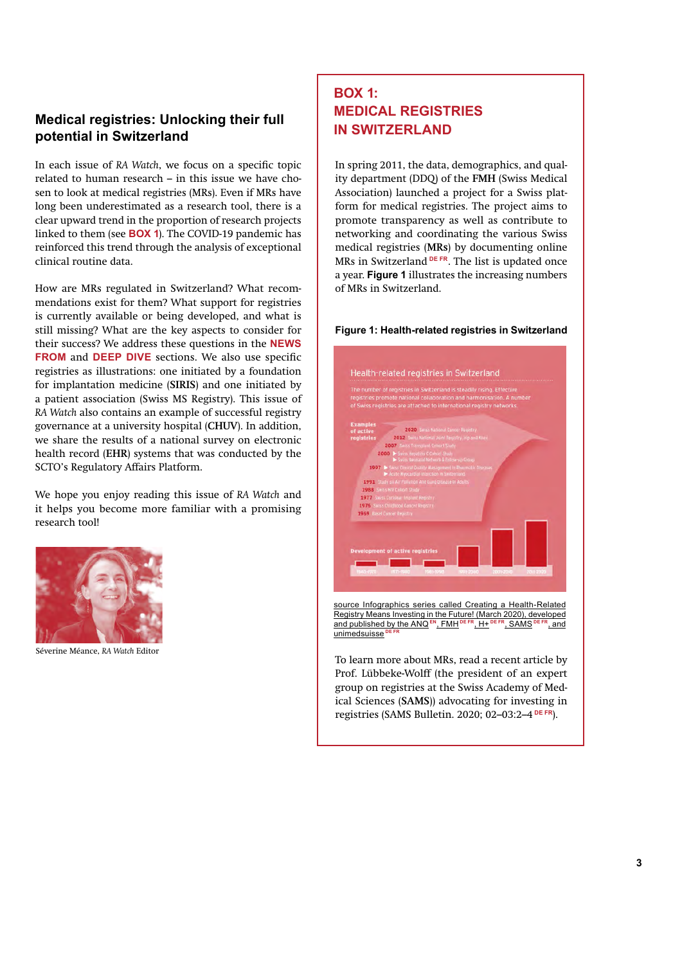# **Medical registries: Unlocking their full potential in Switzerland**

In each issue of *RA Watch*, we focus on a specific topic related to human research – in this issue we have chosen to look at medical registries (MRs). Even if MRs have long been underestimated as a research tool, there is a clear upward trend in the proportion of research projects linked to them (see **BOX 1**). The COVID-19 pandemic has reinforced this trend through the analysis of exceptional clinical routine data.

How are MRs regulated in Switzerland? What recommendations exist for them? What support for registries is currently available or being developed, and what is still missing? What are the key aspects to consider for their success? We address these questions in the **NEWS FROM** and **DEEP DIVE** sections. We also use specific registries as illustrations: one initiated by a foundation for implantation medicine (**SIRIS**) and one initiated by a patient association (Swiss MS Registry). This issue of *RA Watch* also contains an example of successful registry governance at a university hospital (**CHUV**). In addition, we share the results of a national survey on electronic health record (**EHR**) systems that was conducted by the SCTO's Regulatory Affairs Platform.

We hope you enjoy reading this issue of *RA Watch* and it helps you become more familiar with a promising research tool!



Séverine Méance, *RA Watch* Editor

# **BOX 1: MEDICAL REGISTRIES IN SWITZERLAND**

In spring 2011, the data, demographics, and quality department (DDQ) of the **FMH** (Swiss Medical Association) launched a project for a Swiss platform for medical registries. The project aims to promote transparency as well as contribute to networking and coordinating the various Swiss medical registries (**MRs**) by documenting online MRs in Switzerland **DE FR**. The list is updated once a year. **Figure 1** illustrates the increasing numbers of MRs in Switzerland.





Prof. Lübbeke-Wolff (the president of an expert group on registries at the Swiss Academy of Medical Sciences (**SAMS**)) advocating for investing in registries (SAMS Bulletin. 2020; 02–03:2–4 **DE FR**).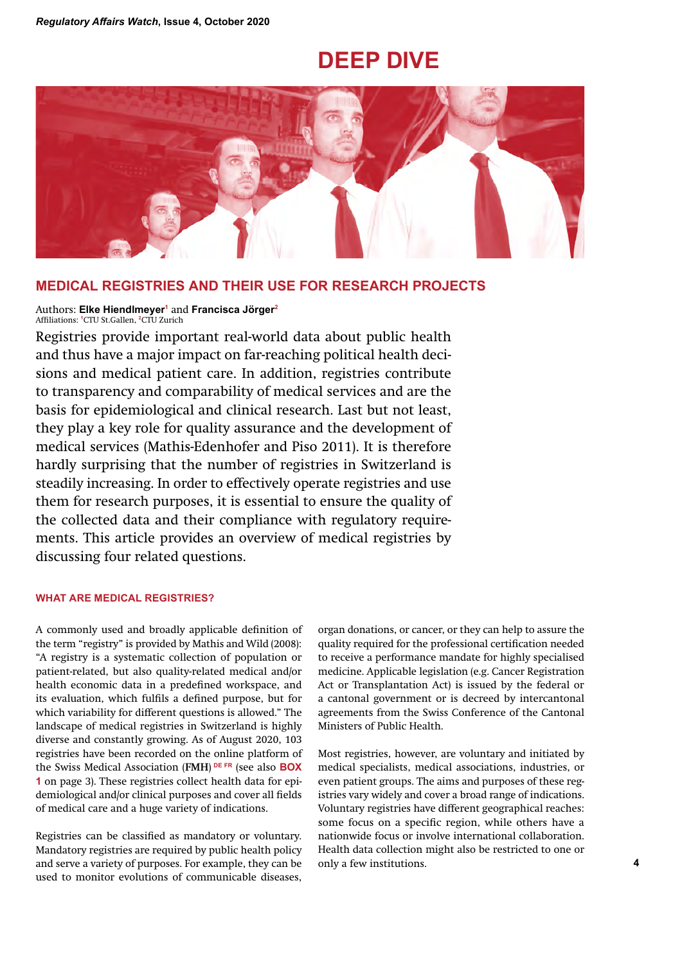# **DEEP DIVE**



# **MEDICAL REGISTRIES AND THEIR USE FOR RESEARCH PROJECTS**

#### Authors: **Elke Hiendlmeyer1** and **Francisca Jörger2** Affiliations: **1**CTU St.Gallen, **2**CTU Zurich

Registries provide important real-world data about public health and thus have a major impact on far-reaching political health decisions and medical patient care. In addition, registries contribute to transparency and comparability of medical services and are the basis for epidemiological and clinical research. Last but not least, they play a key role for quality assurance and the development of medical services (Mathis-Edenhofer and Piso 2011). It is therefore hardly surprising that the number of registries in Switzerland is steadily increasing. In order to effectively operate registries and use them for research purposes, it is essential to ensure the quality of the collected data and their compliance with regulatory requirements. This article provides an overview of medical registries by discussing four related questions.

### **WHAT ARE MEDICAL REGISTRIES?**

A commonly used and broadly applicable definition of the term "registry" is provided by Mathis and Wild (2008): "A registry is a systematic collection of population or patient-related, but also quality-related medical and/or health economic data in a predefined workspace, and its evaluation, which fulfils a defined purpose, but for which variability for different questions is allowed." The landscape of medical registries in Switzerland is highly diverse and constantly growing. As of August 2020, 103 registries have been recorded on the online platform of the Swiss Medical Association (**FMH**)  **DE FR** (see also **BOX 1** on page 3). These registries collect health data for epidemiological and/or clinical purposes and cover all fields of medical care and a huge variety of indications.

Registries can be classified as mandatory or voluntary. Mandatory registries are required by public health policy and serve a variety of purposes. For example, they can be used to monitor evolutions of communicable diseases, organ donations, or cancer, or they can help to assure the quality required for the professional certification needed to receive a performance mandate for highly specialised medicine. Applicable legislation (e.g. Cancer Registration Act or Transplantation Act) is issued by the federal or a cantonal government or is decreed by intercantonal agreements from the Swiss Conference of the Cantonal Ministers of Public Health.

Most registries, however, are voluntary and initiated by medical specialists, medical associations, industries, or even patient groups. The aims and purposes of these registries vary widely and cover a broad range of indications. Voluntary registries have different geographical reaches: some focus on a specific region, while others have a nationwide focus or involve international collaboration. Health data collection might also be restricted to one or only a few institutions.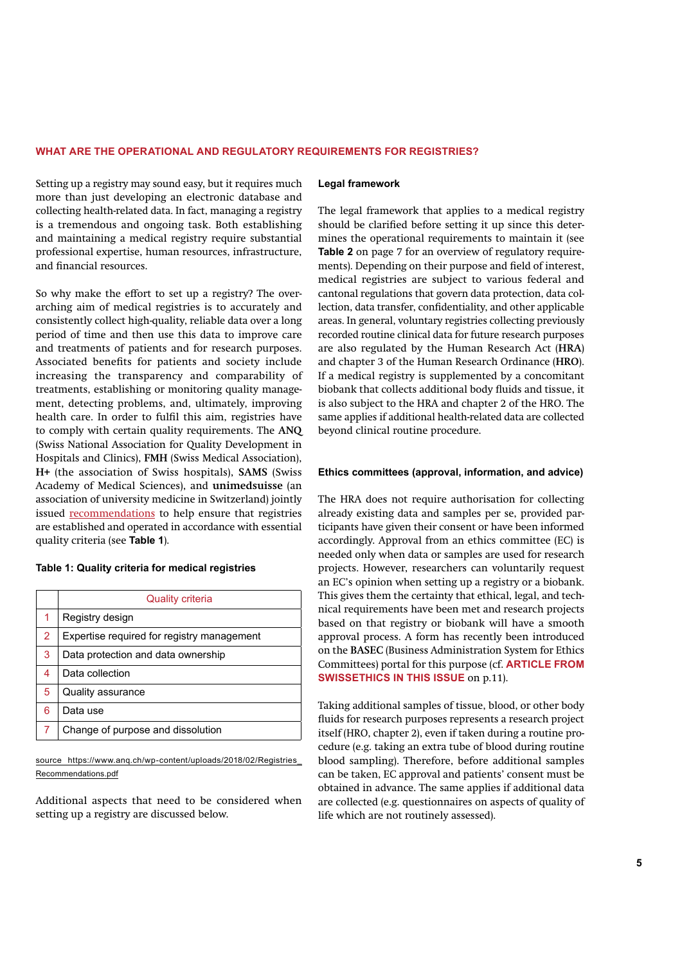#### **WHAT ARE THE OPERATIONAL AND REGULATORY REQUIREMENTS FOR REGISTRIES?**

Setting up a registry may sound easy, but it requires much more than just developing an electronic database and collecting health-related data. In fact, managing a registry is a tremendous and ongoing task. Both establishing and maintaining a medical registry require substantial professional expertise, human resources, infrastructure, and financial resources.

So why make the effort to set up a registry? The overarching aim of medical registries is to accurately and consistently collect high-quality, reliable data over a long period of time and then use this data to improve care and treatments of patients and for research purposes. Associated benefits for patients and society include increasing the transparency and comparability of treatments, establishing or monitoring quality management, detecting problems, and, ultimately, improving health care. In order to fulfil this aim, registries have to comply with certain quality requirements. The **ANQ** (Swiss National Association for Quality Development in Hospitals and Clinics), **FMH** (Swiss Medical Association), **H+** (the association of Swiss hospitals), **SAMS** (Swiss Academy of Medical Sciences), and **unimedsuisse** (an association of university medicine in Switzerland) jointly issued recommendations to help ensure that registries are established and operated in accordance with essential quality criteria (see **Table 1**).

#### **Table 1: Quality criteria for medical registries**

|   | <b>Quality criteria</b>                    |
|---|--------------------------------------------|
| 1 | Registry design                            |
| 2 | Expertise required for registry management |
| 3 | Data protection and data ownership         |
| 4 | Data collection                            |
| 5 | Quality assurance                          |
| 6 | Data use                                   |
| 7 | Change of purpose and dissolution          |

source https://www.anq.ch/wp-content/uploads/2018/02/Registries\_ Recommendations.pdf

Additional aspects that need to be considered when setting up a registry are discussed below.

#### **Legal framework**

The legal framework that applies to a medical registry should be clarified before setting it up since this determines the operational requirements to maintain it (see **Table 2** on page 7 for an overview of regulatory requirements). Depending on their purpose and field of interest, medical registries are subject to various federal and cantonal regulations that govern data protection, data collection, data transfer, confidentiality, and other applicable areas. In general, voluntary registries collecting previously recorded routine clinical data for future research purposes are also regulated by the Human Research Act (**HRA**) and chapter 3 of the Human Research Ordinance (**HRO**). If a medical registry is supplemented by a concomitant biobank that collects additional body fluids and tissue, it is also subject to the HRA and chapter 2 of the HRO. The same applies if additional health-related data are collected beyond clinical routine procedure.

#### **Ethics committees (approval, information, and advice)**

The HRA does not require authorisation for collecting already existing data and samples per se, provided participants have given their consent or have been informed accordingly. Approval from an ethics committee (EC) is needed only when data or samples are used for research projects. However, researchers can voluntarily request an EC's opinion when setting up a registry or a biobank. This gives them the certainty that ethical, legal, and technical requirements have been met and research projects based on that registry or biobank will have a smooth approval process. A form has recently been introduced on the **BASEC** (Business Administration System for Ethics Committees) portal for this purpose (cf. **ARTICLE FROM SWISSETHICS IN THIS ISSUE on p.11).** 

Taking additional samples of tissue, blood, or other body fluids for research purposes represents a research project itself (HRO, chapter 2), even if taken during a routine procedure (e.g. taking an extra tube of blood during routine blood sampling). Therefore, before additional samples can be taken, EC approval and patients' consent must be obtained in advance. The same applies if additional data are collected (e.g. questionnaires on aspects of quality of life which are not routinely assessed).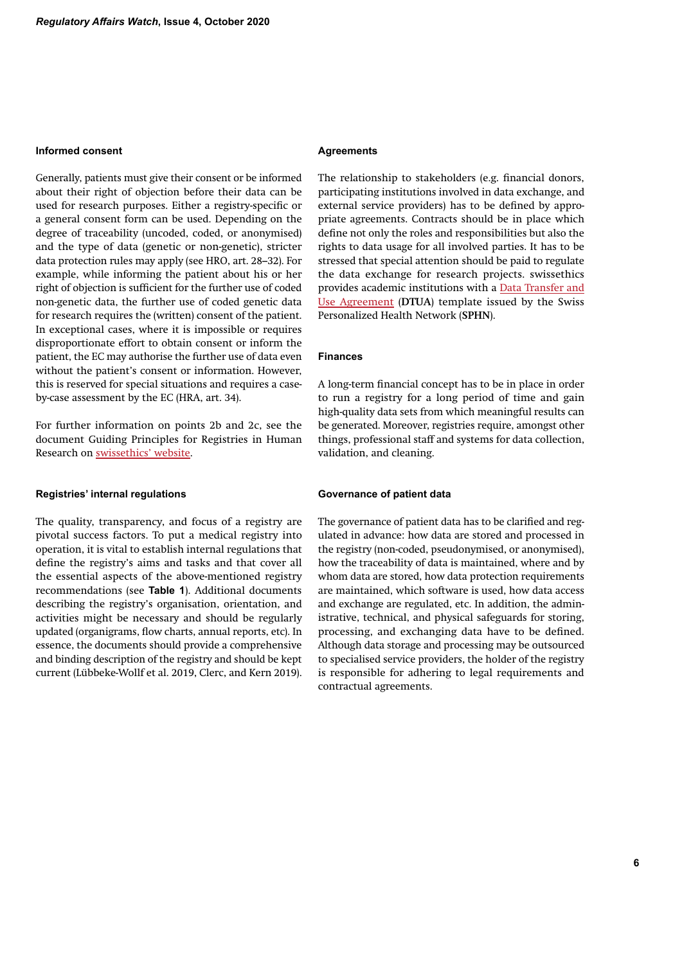### **Informed consent**

Generally, patients must give their consent or be informed about their right of objection before their data can be used for research purposes. Either a registry-specific or a general consent form can be used. Depending on the degree of traceability (uncoded, coded, or anonymised) and the type of data (genetic or non-genetic), stricter data protection rules may apply (see HRO, art. 28–32). For example, while informing the patient about his or her right of objection is sufficient for the further use of coded non-genetic data, the further use of coded genetic data for research requires the (written) consent of the patient. In exceptional cases, where it is impossible or requires disproportionate effort to obtain consent or inform the patient, the EC may authorise the further use of data even without the patient's consent or information. However, this is reserved for special situations and requires a caseby-case assessment by the EC (HRA, art. 34).

For further information on points 2b and 2c, see the document Guiding Principles for Registries in Human Research on swissethics' website.

#### **Registries' internal regulations**

The quality, transparency, and focus of a registry are pivotal success factors. To put a medical registry into operation, it is vital to establish internal regulations that define the registry's aims and tasks and that cover all the essential aspects of the above-mentioned registry recommendations (see **Table 1**). Additional documents describing the registry's organisation, orientation, and activities might be necessary and should be regularly updated (organigrams, flow charts, annual reports, etc). In essence, the documents should provide a comprehensive and binding description of the registry and should be kept current (Lübbeke-Wollf et al. 2019, Clerc, and Kern 2019).

#### **Agreements**

The relationship to stakeholders (e.g. financial donors, participating institutions involved in data exchange, and external service providers) has to be defined by appropriate agreements. Contracts should be in place which define not only the roles and responsibilities but also the rights to data usage for all involved parties. It has to be stressed that special attention should be paid to regulate the data exchange for research projects. swissethics provides academic institutions with a Data Transfer and Use Agreement (**DTUA**) template issued by the Swiss Personalized Health Network (**SPHN**).

#### **Finances**

A long-term financial concept has to be in place in order to run a registry for a long period of time and gain high-quality data sets from which meaningful results can be generated. Moreover, registries require, amongst other things, professional staff and systems for data collection, validation, and cleaning.

#### **Governance of patient data**

The governance of patient data has to be clarified and regulated in advance: how data are stored and processed in the registry (non-coded, pseudonymised, or anonymised), how the traceability of data is maintained, where and by whom data are stored, how data protection requirements are maintained, which software is used, how data access and exchange are regulated, etc. In addition, the administrative, technical, and physical safeguards for storing, processing, and exchanging data have to be defined. Although data storage and processing may be outsourced to specialised service providers, the holder of the registry is responsible for adhering to legal requirements and contractual agreements.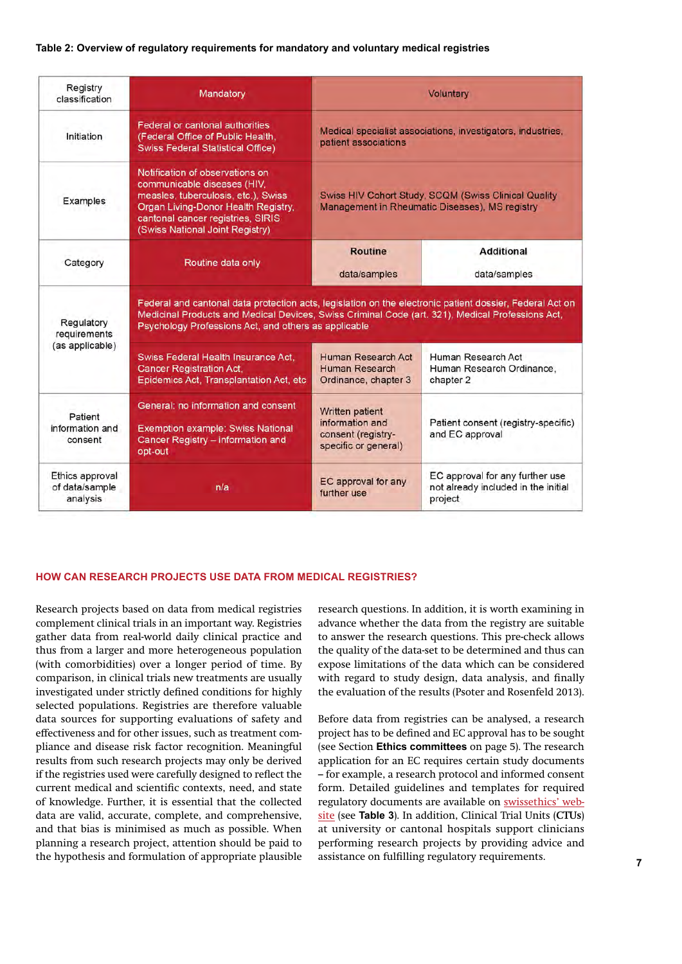#### **Table 2: Overview of regulatory requirements for mandatory and voluntary medical registries**

| Registry<br>classification                                                                                                                                               | Mandatory                                                                                                                                                                                                                                                            | <b>Voluntary</b>                                                                    |                                                                                                        |  |  |
|--------------------------------------------------------------------------------------------------------------------------------------------------------------------------|----------------------------------------------------------------------------------------------------------------------------------------------------------------------------------------------------------------------------------------------------------------------|-------------------------------------------------------------------------------------|--------------------------------------------------------------------------------------------------------|--|--|
| Initiation                                                                                                                                                               | Federal or cantonal authorities<br>(Federal Office of Public Health,<br><b>Swiss Federal Statistical Office)</b>                                                                                                                                                     | Medical specialist associations, investigators, industries,<br>patient associations |                                                                                                        |  |  |
| Examples                                                                                                                                                                 | Notification of observations on<br>communicable diseases (HIV.<br>measles, tuberculosis, etc.), Swiss<br>Organ Living-Donor Health Registry.<br>cantonal cancer registries, SIRIS<br>(Swiss National Joint Registry)                                                 |                                                                                     | Swiss HIV Cohort Study, SCQM (Swiss Clinical Quality<br>Management in Rheumatic Diseases). MS registry |  |  |
| Category                                                                                                                                                                 | Routine data only                                                                                                                                                                                                                                                    | <b>Routine</b><br>data/samples                                                      | <b>Additional</b><br>data/samples                                                                      |  |  |
| Regulatory<br>requirements                                                                                                                                               | Federal and cantonal data protection acts, legislation on the electronic patient dossier, Federal Act on<br>Medicinal Products and Medical Devices, Swiss Criminal Code (art. 321), Medical Professions Act,<br>Psychology Professions Act, and others as applicable |                                                                                     |                                                                                                        |  |  |
| (as applicable)                                                                                                                                                          | Swiss Federal Health Insurance Act.<br><b>Cancer Registration Act,</b><br>Epidemics Act, Transplantation Act, etc                                                                                                                                                    | Human Research Act<br>Human Research<br>Ordinance, chapter 3                        | Human Research Act<br>Human Research Ordinance,<br>chapter 2                                           |  |  |
| General: no information and consent<br>Patient<br>information and<br><b>Exemption example: Swiss National</b><br>Cancer Registry - information and<br>consent<br>opt-out |                                                                                                                                                                                                                                                                      | Written patient<br>information and<br>consent (registry-<br>specific or general)    | Patient consent (registry-specific)<br>and EC approval                                                 |  |  |
| Ethics approval<br>of data/sample<br>n/a<br>analysis                                                                                                                     |                                                                                                                                                                                                                                                                      | EC approval for any<br>further use                                                  | EC approval for any further use<br>not already included in the initial<br>project                      |  |  |

#### **HOW CAN RESEARCH PROJECTS USE DATA FROM MEDICAL REGISTRIES?**

Research projects based on data from medical registries complement clinical trials in an important way. Registries gather data from real-world daily clinical practice and thus from a larger and more heterogeneous population (with comorbidities) over a longer period of time. By comparison, in clinical trials new treatments are usually investigated under strictly defined conditions for highly selected populations. Registries are therefore valuable data sources for supporting evaluations of safety and effectiveness and for other issues, such as treatment compliance and disease risk factor recognition. Meaningful results from such research projects may only be derived if the registries used were carefully designed to reflect the current medical and scientific contexts, need, and state of knowledge. Further, it is essential that the collected data are valid, accurate, complete, and comprehensive, and that bias is minimised as much as possible. When planning a research project, attention should be paid to research questions. In addition, it is worth examining in advance whether the data from the registry are suitable to answer the research questions. This pre-check allows the quality of the data-set to be determined and thus can expose limitations of the data which can be considered with regard to study design, data analysis, and finally the evaluation of the results (Psoter and Rosenfeld 2013).

**6 7** the hypothesis and formulation of appropriate plausible Before data from registries can be analysed, a research project has to be defined and EC approval has to be sought (see Section **Ethics committees** on page 5). The research application for an EC requires certain study documents – for example, a research protocol and informed consent form. Detailed guidelines and templates for required regulatory documents are available on swissethics' website (see **Table 3**). In addition, Clinical Trial Units (**CTUs**) at university or cantonal hospitals support clinicians performing research projects by providing advice and assistance on fulfilling regulatory requirements.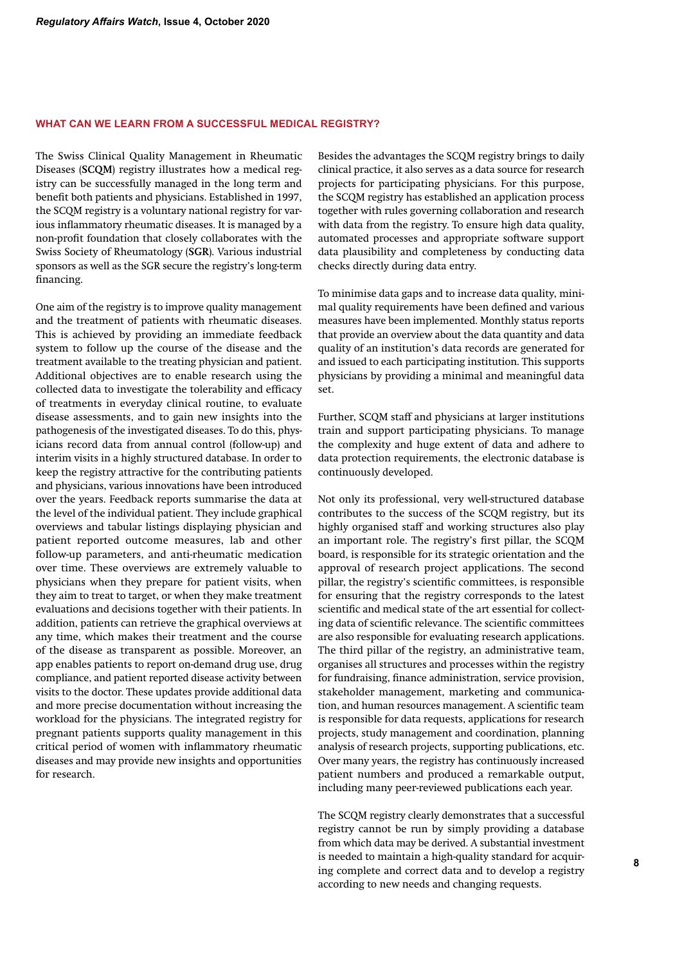### **WHAT CAN WE LEARN FROM A SUCCESSFUL MEDICAL REGISTRY?**

The Swiss Clinical Quality Management in Rheumatic Diseases (**SCQM**) registry illustrates how a medical registry can be successfully managed in the long term and benefit both patients and physicians. Established in 1997, the SCQM registry is a voluntary national registry for various inflammatory rheumatic diseases. It is managed by a non-profit foundation that closely collaborates with the Swiss Society of Rheumatology (**SGR**). Various industrial sponsors as well as the SGR secure the registry's long-term financing.

One aim of the registry is to improve quality management and the treatment of patients with rheumatic diseases. This is achieved by providing an immediate feedback system to follow up the course of the disease and the treatment available to the treating physician and patient. Additional objectives are to enable research using the collected data to investigate the tolerability and efficacy of treatments in everyday clinical routine, to evaluate disease assessments, and to gain new insights into the pathogenesis of the investigated diseases. To do this, physicians record data from annual control (follow-up) and interim visits in a highly structured database. In order to keep the registry attractive for the contributing patients and physicians, various innovations have been introduced over the years. Feedback reports summarise the data at the level of the individual patient. They include graphical overviews and tabular listings displaying physician and patient reported outcome measures, lab and other follow-up parameters, and anti-rheumatic medication over time. These overviews are extremely valuable to physicians when they prepare for patient visits, when they aim to treat to target, or when they make treatment evaluations and decisions together with their patients. In addition, patients can retrieve the graphical overviews at any time, which makes their treatment and the course of the disease as transparent as possible. Moreover, an app enables patients to report on-demand drug use, drug compliance, and patient reported disease activity between visits to the doctor. These updates provide additional data and more precise documentation without increasing the workload for the physicians. The integrated registry for pregnant patients supports quality management in this critical period of women with inflammatory rheumatic diseases and may provide new insights and opportunities for research.

Besides the advantages the SCQM registry brings to daily clinical practice, it also serves as a data source for research projects for participating physicians. For this purpose, the SCQM registry has established an application process together with rules governing collaboration and research with data from the registry. To ensure high data quality, automated processes and appropriate software support data plausibility and completeness by conducting data checks directly during data entry.

To minimise data gaps and to increase data quality, minimal quality requirements have been defined and various measures have been implemented. Monthly status reports that provide an overview about the data quantity and data quality of an institution's data records are generated for and issued to each participating institution. This supports physicians by providing a minimal and meaningful data set.

Further, SCQM staff and physicians at larger institutions train and support participating physicians. To manage the complexity and huge extent of data and adhere to data protection requirements, the electronic database is continuously developed.

Not only its professional, very well-structured database contributes to the success of the SCQM registry, but its highly organised staff and working structures also play an important role. The registry's first pillar, the SCQM board, is responsible for its strategic orientation and the approval of research project applications. The second pillar, the registry's scientific committees, is responsible for ensuring that the registry corresponds to the latest scientific and medical state of the art essential for collecting data of scientific relevance. The scientific committees are also responsible for evaluating research applications. The third pillar of the registry, an administrative team, organises all structures and processes within the registry for fundraising, finance administration, service provision, stakeholder management, marketing and communication, and human resources management. A scientific team is responsible for data requests, applications for research projects, study management and coordination, planning analysis of research projects, supporting publications, etc. Over many years, the registry has continuously increased patient numbers and produced a remarkable output, including many peer-reviewed publications each year.

The SCQM registry clearly demonstrates that a successful registry cannot be run by simply providing a database from which data may be derived. A substantial investment is needed to maintain a high-quality standard for acquiring complete and correct data and to develop a registry according to new needs and changing requests.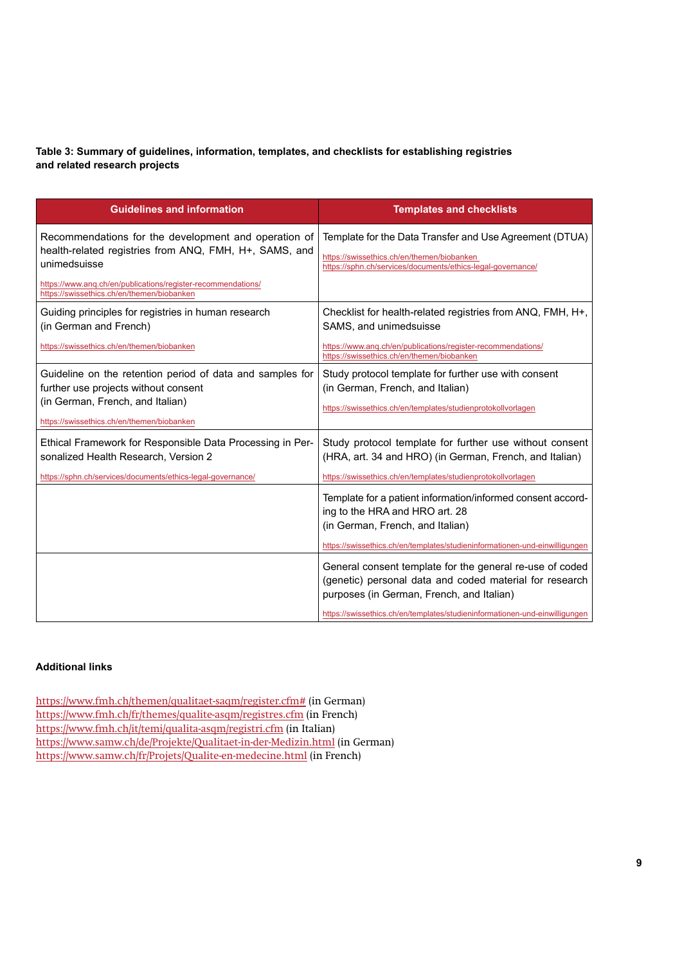# **Table 3: Summary of guidelines, information, templates, and checklists for establishing registries and related research projects**

| <b>Guidelines and information</b>                                                                                              | <b>Templates and checklists</b>                                                                                                                                      |  |
|--------------------------------------------------------------------------------------------------------------------------------|----------------------------------------------------------------------------------------------------------------------------------------------------------------------|--|
| Recommendations for the development and operation of<br>health-related registries from ANQ, FMH, H+, SAMS, and<br>unimedsuisse | Template for the Data Transfer and Use Agreement (DTUA)<br>https://swissethics.ch/en/themen/biobanken<br>https://sphn.ch/services/documents/ethics-legal-governance/ |  |
| https://www.ang.ch/en/publications/register-recommendations/<br>https://swissethics.ch/en/themen/biobanken                     |                                                                                                                                                                      |  |
| Guiding principles for registries in human research<br>(in German and French)                                                  | Checklist for health-related registries from ANQ, FMH, H+,<br>SAMS, and unimedsuisse                                                                                 |  |
| https://swissethics.ch/en/themen/biobanken                                                                                     | https://www.ang.ch/en/publications/register-recommendations/<br>https://swissethics.ch/en/themen/biobanken                                                           |  |
| Guideline on the retention period of data and samples for<br>further use projects without consent                              | Study protocol template for further use with consent<br>(in German, French, and Italian)                                                                             |  |
| (in German, French, and Italian)<br>https://swissethics.ch/en/themen/biobanken                                                 | https://swissethics.ch/en/templates/studienprotokollvorlagen                                                                                                         |  |
| Ethical Framework for Responsible Data Processing in Per-<br>sonalized Health Research, Version 2                              | Study protocol template for further use without consent<br>(HRA, art. 34 and HRO) (in German, French, and Italian)                                                   |  |
| https://sphn.ch/services/documents/ethics-legal-governance/                                                                    | https://swissethics.ch/en/templates/studienprotokollvorlagen                                                                                                         |  |
|                                                                                                                                | Template for a patient information/informed consent accord-<br>ing to the HRA and HRO art. 28<br>(in German, French, and Italian)                                    |  |
|                                                                                                                                | https://swissethics.ch/en/templates/studieninformationen-und-einwilligungen                                                                                          |  |
|                                                                                                                                | General consent template for the general re-use of coded<br>(genetic) personal data and coded material for research<br>purposes (in German, French, and Italian)     |  |
|                                                                                                                                | https://swissethics.ch/en/templates/studieninformationen-und-einwilligungen                                                                                          |  |

# **Additional links**

https://www.fmh.ch/themen/qualitaet-saqm/register.cfm# (in German) https://www.fmh.ch/fr/themes/qualite-asqm/registres.cfm (in French) https://www.fmh.ch/it/temi/qualita-asqm/registri.cfm (in Italian) https://www.samw.ch/de/Projekte/Qualitaet-in-der-Medizin.html (in German) https://www.samw.ch/fr/Projets/Qualite-en-medecine.html (in French)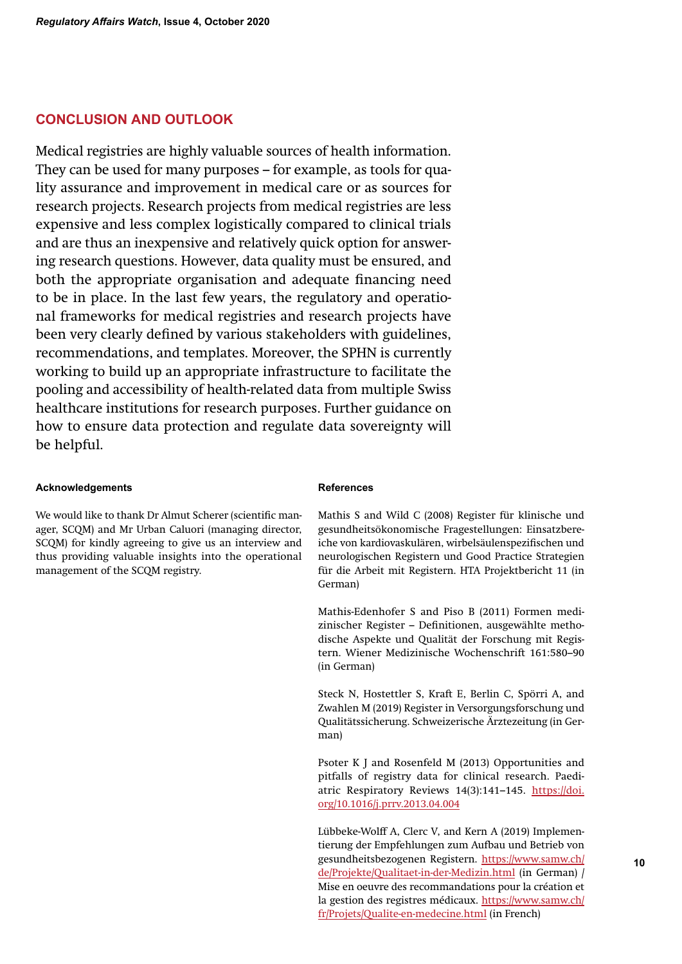# **CONCLUSION AND OUTLOOK**

Medical registries are highly valuable sources of health information. They can be used for many purposes – for example, as tools for quality assurance and improvement in medical care or as sources for research projects. Research projects from medical registries are less expensive and less complex logistically compared to clinical trials and are thus an inexpensive and relatively quick option for answering research questions. However, data quality must be ensured, and both the appropriate organisation and adequate financing need to be in place. In the last few years, the regulatory and operational frameworks for medical registries and research projects have been very clearly defined by various stakeholders with guidelines, recommendations, and templates. Moreover, the SPHN is currently working to build up an appropriate infrastructure to facilitate the pooling and accessibility of health-related data from multiple Swiss healthcare institutions for research purposes. Further guidance on how to ensure data protection and regulate data sovereignty will be helpful.

### **Acknowledgements**

We would like to thank Dr Almut Scherer (scientific manager, SCQM) and Mr Urban Caluori (managing director, SCQM) for kindly agreeing to give us an interview and thus providing valuable insights into the operational management of the SCQM registry.

#### **References**

Mathis S and Wild C (2008) Register für klinische und gesundheitsökonomische Fragestellungen: Einsatzbereiche von kardiovaskulären, wirbelsäulenspezifischen und neurologischen Registern und Good Practice Strategien für die Arbeit mit Registern. HTA Projektbericht 11 (in German)

Mathis-Edenhofer S and Piso B (2011) Formen medizinischer Register – Definitionen, ausgewählte methodische Aspekte und Qualität der Forschung mit Registern. Wiener Medizinische Wochenschrift 161:580–90 (in German)

Steck N, Hostettler S, Kraft E, Berlin C, Spörri A, and Zwahlen M (2019) Register in Versorgungsforschung und Qualitätssicherung. Schweizerische Ärztezeitung (in German)

Psoter K J and Rosenfeld M (2013) Opportunities and pitfalls of registry data for clinical research. Paediatric Respiratory Reviews 14(3):141–145. https://doi. org/10.1016/j.prrv.2013.04.004

Lübbeke-Wolff A, Clerc V, and Kern A (2019) Implementierung der Empfehlungen zum Aufbau und Betrieb von gesundheitsbezogenen Registern. https://www.samw.ch/ de/Projekte/Qualitaet-in-der-Medizin.html (in German) / Mise en oeuvre des recommandations pour la création et la gestion des registres médicaux. https://www.samw.ch/ fr/Projets/Qualite-en-medecine.html (in French)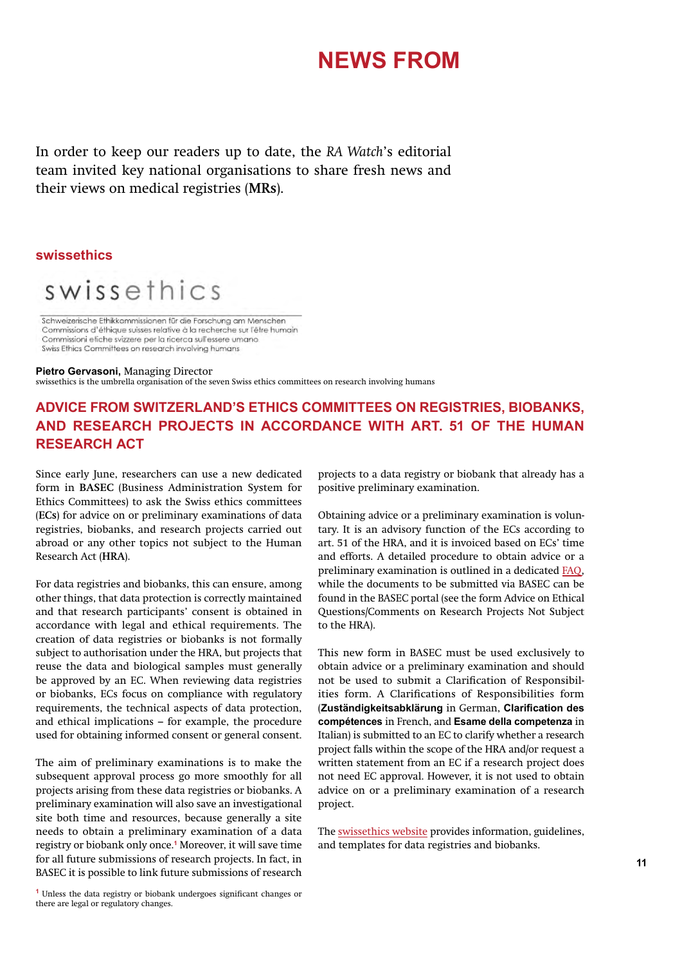# **NEWS FROM**

In order to keep our readers up to date, the *RA Watch*'s editorial team invited key national organisations to share fresh news and their views on medical registries (**MRs**).

# **swissethics**



Schweizerische Ethikkommissionen für die Forschung am Menschen Commissions d'éthique suisses relative à la recherche sur l'être humain Commissioni efiche svizzere per la ricerca sull'essere umano Swiss Ethics Committees on research involving humans

#### **Pietro Gervasoni,** Managing Director

swissethics is the umbrella organisation of the seven Swiss ethics committees on research involving humans

# **ADVICE FROM SWITZERLAND'S ETHICS COMMITTEES ON REGISTRIES, BIOBANKS, AND RESEARCH PROJECTS IN ACCORDANCE WITH ART. 51 OF THE HUMAN RESEARCH ACT**

Since early June, researchers can use a new dedicated form in **BASEC** (Business Administration System for Ethics Committees) to ask the Swiss ethics committees (**ECs**) for advice on or preliminary examinations of data registries, biobanks, and research projects carried out abroad or any other topics not subject to the Human Research Act (**HRA**).

For data registries and biobanks, this can ensure, among other things, that data protection is correctly maintained and that research participants' consent is obtained in accordance with legal and ethical requirements. The creation of data registries or biobanks is not formally subject to authorisation under the HRA, but projects that reuse the data and biological samples must generally be approved by an EC. When reviewing data registries or biobanks, ECs focus on compliance with regulatory requirements, the technical aspects of data protection, and ethical implications – for example, the procedure used for obtaining informed consent or general consent.

for all future submissions of research projects. In fact, in **11 11** The aim of preliminary examinations is to make the subsequent approval process go more smoothly for all projects arising from these data registries or biobanks. A preliminary examination will also save an investigational site both time and resources, because generally a site needs to obtain a preliminary examination of a data registry or biobank only once.**<sup>1</sup>** Moreover, it will save time BASEC it is possible to link future submissions of research

> **1** Unless the data registry or biobank undergoes significant changes or there are legal or regulatory changes.

projects to a data registry or biobank that already has a positive preliminary examination.

Obtaining advice or a preliminary examination is voluntary. It is an advisory function of the ECs according to art. 51 of the HRA, and it is invoiced based on ECs' time and efforts. A detailed procedure to obtain advice or a preliminary examination is outlined in a dedicated FAQ, while the documents to be submitted via BASEC can be found in the BASEC portal (see the form Advice on Ethical Questions/Comments on Research Projects Not Subject to the HRA).

This new form in BASEC must be used exclusively to obtain advice or a preliminary examination and should not be used to submit a Clarification of Responsibilities form. A Clarifications of Responsibilities form (**Zuständigkeitsabklärung** in German, **Clarification des compétences** in French, and **Esame della competenza** in Italian) is submitted to an EC to clarify whether a research project falls within the scope of the HRA and/or request a written statement from an EC if a research project does not need EC approval. However, it is not used to obtain advice on or a preliminary examination of a research project.

The swissethics website provides information, guidelines, and templates for data registries and biobanks.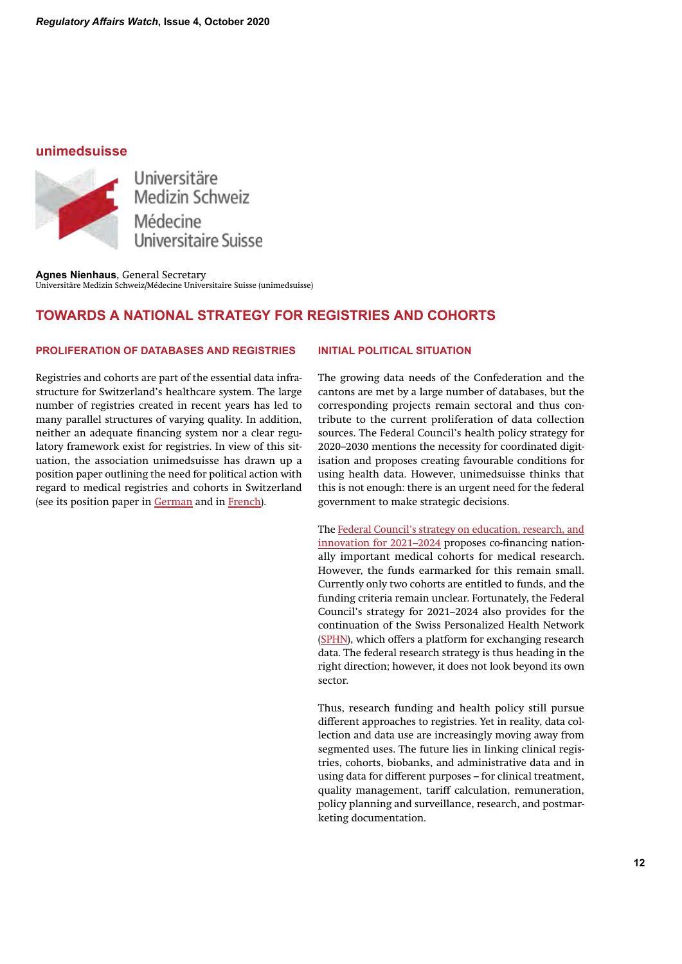# **unimedsuisse**



Universitäre Medizin Schweiz<br>Médecine Universitaire Suisse

**Agnes Nienhaus**, General Secretary Universitäre Medizin Schweiz/Médecine Universitaire Suisse (unimedsuisse)

# **TOWARDS A NATIONAL STRATEGY FOR REGISTRIES AND COHORTS**

# **PROLIFERATION OF DATABASES AND REGISTRIES**

Registries and cohorts are part of the essential data infrastructure for Switzerland's healthcare system. The large number of registries created in recent years has led to many parallel structures of varying quality. In addition, neither an adequate financing system nor a clear regulatory framework exist for registries. In view of this situation, the association unimedsuisse has drawn up a position paper outlining the need for political action with regard to medical registries and cohorts in Switzerland (see its position paper in German and in French).

# **INITIAL POLITICAL SITUATION**

The growing data needs of the Confederation and the cantons are met by a large number of databases, but the corresponding projects remain sectoral and thus contribute to the current proliferation of data collection sources. The Federal Council's health policy strategy for 2020–2030 mentions the necessity for coordinated digitisation and proposes creating favourable conditions for using health data. However, unimedsuisse thinks that this is not enough: there is an urgent need for the federal government to make strategic decisions.

The Federal Council's strategy on education, research, and innovation for 2021–2024 proposes co-financing nationally important medical cohorts for medical research. However, the funds earmarked for this remain small. Currently only two cohorts are entitled to funds, and the funding criteria remain unclear. Fortunately, the Federal Council's strategy for 2021–2024 also provides for the continuation of the Swiss Personalized Health Network (SPHN), which offers a platform for exchanging research data. The federal research strategy is thus heading in the right direction; however, it does not look beyond its own sector.

Thus, research funding and health policy still pursue different approaches to registries. Yet in reality, data collection and data use are increasingly moving away from segmented uses. The future lies in linking clinical registries, cohorts, biobanks, and administrative data and in using data for different purposes – for clinical treatment, quality management, tariff calculation, remuneration, policy planning and surveillance, research, and postmarketing documentation.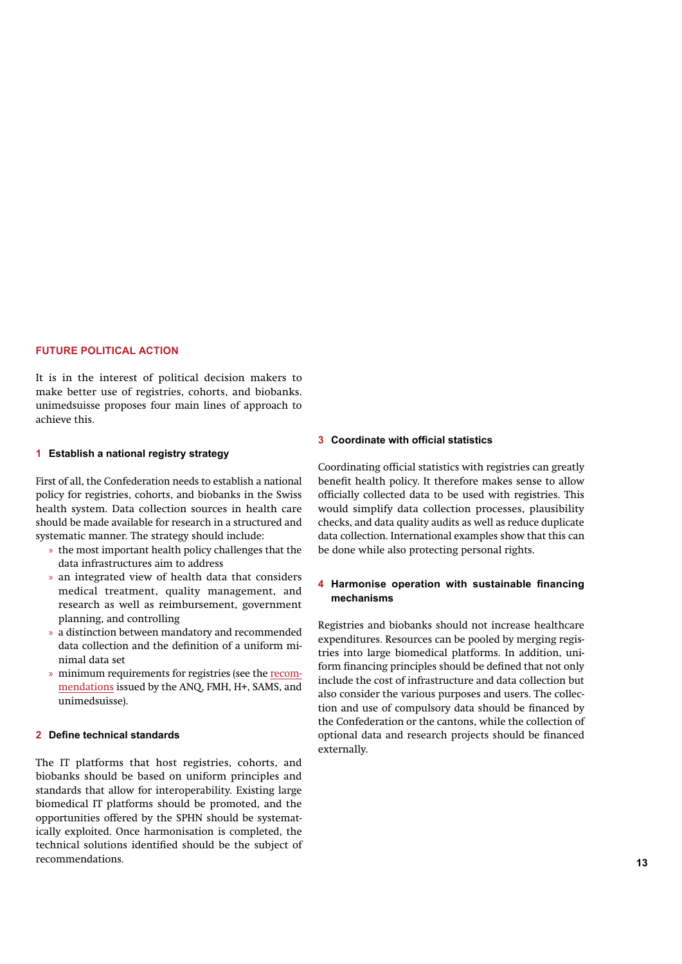#### **FUTURE POLITICAL ACTION**

It is in the interest of political decision makers to make better use of registries, cohorts, and biobanks. unimedsuisse proposes four main lines of approach to achieve this.

#### **1 Establish a national registry strategy**

First of all, the Confederation needs to establish a national policy for registries, cohorts, and biobanks in the Swiss health system. Data collection sources in health care should be made available for research in a structured and systematic manner. The strategy should include:

- » the most important health policy challenges that the data infrastructures aim to address
- » an integrated view of health data that considers medical treatment, quality management, and research as well as reimbursement, government planning, and controlling
- » a distinction between mandatory and recommended data collection and the definition of a uniform minimal data set
- » minimum requirements for registries (see the recommendations issued by the ANQ, FMH, H+, SAMS, and unimedsuisse).

### **2 Define technical standards**

**12 13** The IT platforms that host registries, cohorts, and biobanks should be based on uniform principles and standards that allow for interoperability. Existing large biomedical IT platforms should be promoted, and the opportunities offered by the SPHN should be systematically exploited. Once harmonisation is completed, the technical solutions identified should be the subject of recommendations.

### **3 Coordinate with official statistics**

Coordinating official statistics with registries can greatly benefit health policy. It therefore makes sense to allow officially collected data to be used with registries. This would simplify data collection processes, plausibility checks, and data quality audits as well as reduce duplicate data collection. International examples show that this can be done while also protecting personal rights.

### **4 Harmonise operation with sustainable financing mechanisms**

Registries and biobanks should not increase healthcare expenditures. Resources can be pooled by merging registries into large biomedical platforms. In addition, uniform financing principles should be defined that not only include the cost of infrastructure and data collection but also consider the various purposes and users. The collection and use of compulsory data should be financed by the Confederation or the cantons, while the collection of optional data and research projects should be financed externally.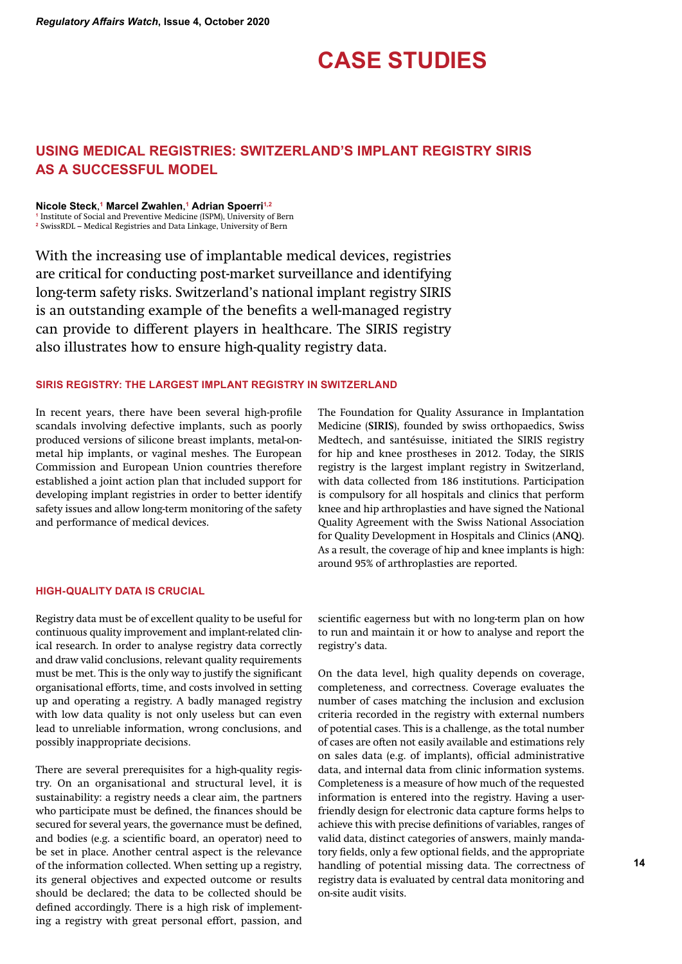# **CASE STUDIES**

# **USING MEDICAL REGISTRIES: SWITZERLAND'S IMPLANT REGISTRY SIRIS AS A SUCCESSFUL MODEL**

**Nicole Steck**, **<sup>1</sup> Marcel Zwahlen**, **<sup>1</sup> Adrian Spoerri1,2**

**1** Institute of Social and Preventive Medicine (ISPM), University of Bern **2** SwissRDL – Medical Registries and Data Linkage, University of Bern

With the increasing use of implantable medical devices, registries are critical for conducting post-market surveillance and identifying long-term safety risks. Switzerland's national implant registry SIRIS is an outstanding example of the benefits a well-managed registry can provide to different players in healthcare. The SIRIS registry also illustrates how to ensure high-quality registry data.

# **SIRIS REGISTRY: THE LARGEST IMPLANT REGISTRY IN SWITZERLAND**

In recent years, there have been several high-profile scandals involving defective implants, such as poorly produced versions of silicone breast implants, metal-onmetal hip implants, or vaginal meshes. The European Commission and European Union countries therefore established a joint action plan that included support for developing implant registries in order to better identify safety issues and allow long-term monitoring of the safety and performance of medical devices.

#### **HIGH-QUALITY DATA IS CRUCIAL**

Registry data must be of excellent quality to be useful for continuous quality improvement and implant-related clinical research. In order to analyse registry data correctly and draw valid conclusions, relevant quality requirements must be met. This is the only way to justify the significant organisational efforts, time, and costs involved in setting up and operating a registry. A badly managed registry with low data quality is not only useless but can even lead to unreliable information, wrong conclusions, and possibly inappropriate decisions.

There are several prerequisites for a high-quality registry. On an organisational and structural level, it is sustainability: a registry needs a clear aim, the partners who participate must be defined, the finances should be secured for several years, the governance must be defined, and bodies (e.g. a scientific board, an operator) need to be set in place. Another central aspect is the relevance of the information collected. When setting up a registry, its general objectives and expected outcome or results should be declared; the data to be collected should be defined accordingly. There is a high risk of implementing a registry with great personal effort, passion, and The Foundation for Quality Assurance in Implantation Medicine (**SIRIS**), founded by swiss orthopaedics, Swiss Medtech, and santésuisse, initiated the SIRIS registry for hip and knee prostheses in 2012. Today, the SIRIS registry is the largest implant registry in Switzerland, with data collected from 186 institutions. Participation is compulsory for all hospitals and clinics that perform knee and hip arthroplasties and have signed the National Quality Agreement with the Swiss National Association for Quality Development in Hospitals and Clinics (**ANQ**). As a result, the coverage of hip and knee implants is high: around 95% of arthroplasties are reported.

scientific eagerness but with no long-term plan on how to run and maintain it or how to analyse and report the registry's data.

On the data level, high quality depends on coverage, completeness, and correctness. Coverage evaluates the number of cases matching the inclusion and exclusion criteria recorded in the registry with external numbers of potential cases. This is a challenge, as the total number of cases are often not easily available and estimations rely on sales data (e.g. of implants), official administrative data, and internal data from clinic information systems. Completeness is a measure of how much of the requested information is entered into the registry. Having a userfriendly design for electronic data capture forms helps to achieve this with precise definitions of variables, ranges of valid data, distinct categories of answers, mainly mandatory fields, only a few optional fields, and the appropriate handling of potential missing data. The correctness of registry data is evaluated by central data monitoring and on-site audit visits.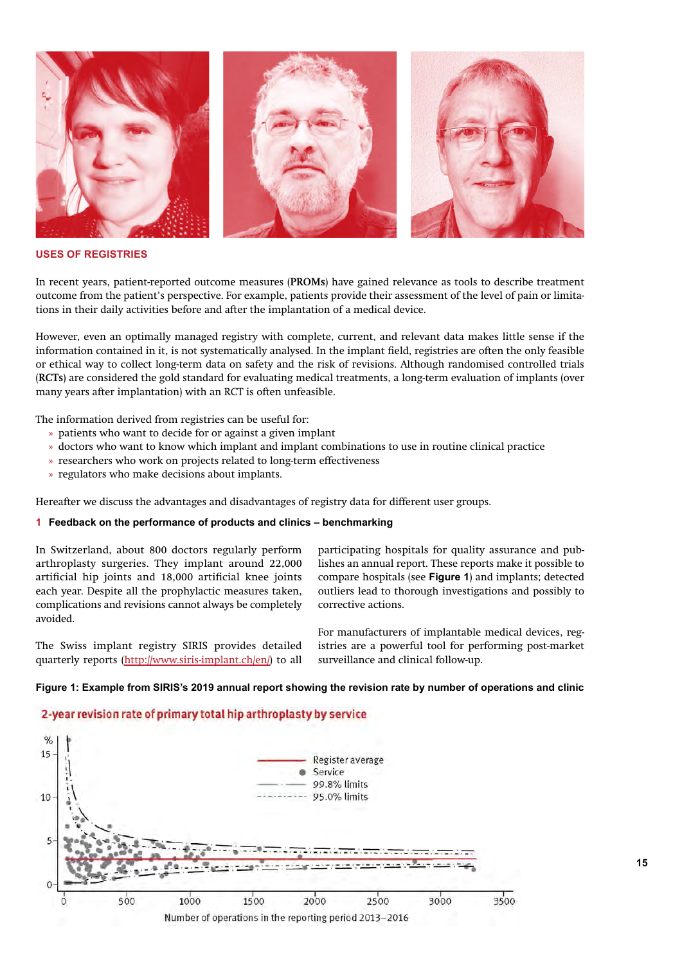

### **USES OF REGISTRIES**

In recent years, patient-reported outcome measures (**PROMs**) have gained relevance as tools to describe treatment outcome from the patient's perspective. For example, patients provide their assessment of the level of pain or limitations in their daily activities before and after the implantation of a medical device.

However, even an optimally managed registry with complete, current, and relevant data makes little sense if the information contained in it, is not systematically analysed. In the implant field, registries are often the only feasible or ethical way to collect long-term data on safety and the risk of revisions. Although randomised controlled trials (**RCTs**) are considered the gold standard for evaluating medical treatments, a long-term evaluation of implants (over many years after implantation) with an RCT is often unfeasible.

The information derived from registries can be useful for:

- » patients who want to decide for or against a given implant
- » doctors who want to know which implant and implant combinations to use in routine clinical practice
- » researchers who work on projects related to long-term effectiveness
- » regulators who make decisions about implants.

Hereafter we discuss the advantages and disadvantages of registry data for different user groups.

### **1 Feedback on the performance of products and clinics – benchmarking**

In Switzerland, about 800 doctors regularly perform arthroplasty surgeries. They implant around 22,000 artificial hip joints and 18,000 artificial knee joints each year. Despite all the prophylactic measures taken, complications and revisions cannot always be completely avoided.

The Swiss implant registry SIRIS provides detailed quarterly reports (http://www.siris-implant.ch/en/) to all

participating hospitals for quality assurance and publishes an annual report. These reports make it possible to compare hospitals (see **Figure 1**) and implants; detected outliers lead to thorough investigations and possibly to corrective actions.

For manufacturers of implantable medical devices, registries are a powerful tool for performing post-market surveillance and clinical follow-up.

### **Figure 1: Example from SIRIS's 2019 annual report showing the revision rate by number of operations and clinic**

# 2-year revision rate of primary total hip arthroplasty by service

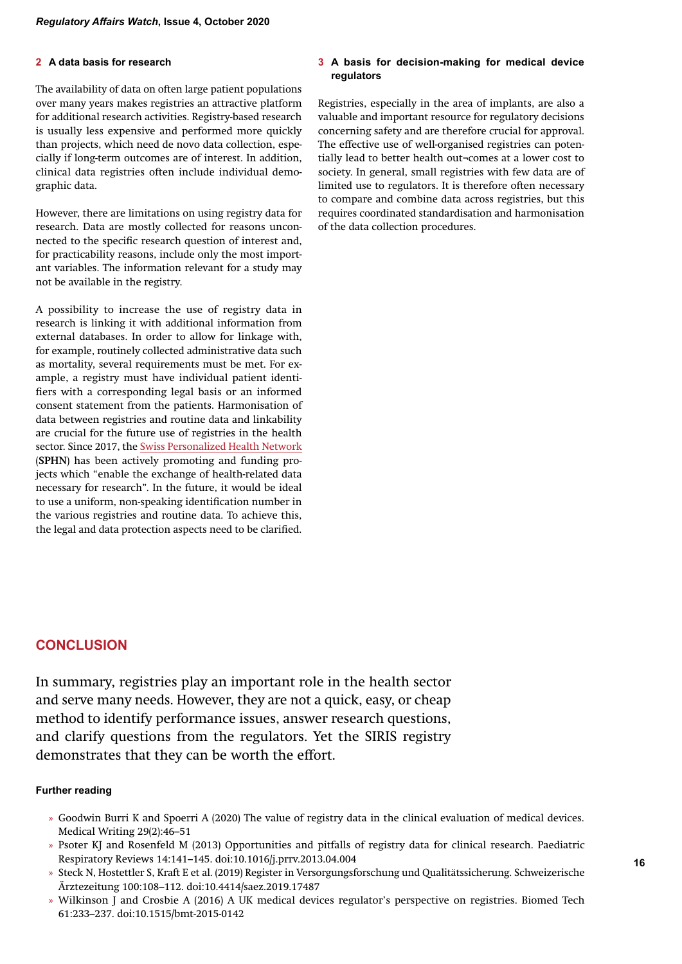### **2 A data basis for research**

The availability of data on often large patient populations over many years makes registries an attractive platform for additional research activities. Registry-based research is usually less expensive and performed more quickly than projects, which need de novo data collection, especially if long-term outcomes are of interest. In addition, clinical data registries often include individual demographic data.

However, there are limitations on using registry data for research. Data are mostly collected for reasons unconnected to the specific research question of interest and, for practicability reasons, include only the most important variables. The information relevant for a study may not be available in the registry.

A possibility to increase the use of registry data in research is linking it with additional information from external databases. In order to allow for linkage with, for example, routinely collected administrative data such as mortality, several requirements must be met. For example, a registry must have individual patient identifiers with a corresponding legal basis or an informed consent statement from the patients. Harmonisation of data between registries and routine data and linkability are crucial for the future use of registries in the health sector. Since 2017, the Swiss Personalized Health Network (**SPHN**) has been actively promoting and funding projects which "enable the exchange of health-related data necessary for research". In the future, it would be ideal to use a uniform, non-speaking identification number in the various registries and routine data. To achieve this, the legal and data protection aspects need to be clarified.

#### **3 A basis for decision-making for medical device regulators**

Registries, especially in the area of implants, are also a valuable and important resource for regulatory decisions concerning safety and are therefore crucial for approval. The effective use of well-organised registries can potentially lead to better health out¬comes at a lower cost to society. In general, small registries with few data are of limited use to regulators. It is therefore often necessary to compare and combine data across registries, but this requires coordinated standardisation and harmonisation of the data collection procedures.

# **CONCLUSION**

In summary, registries play an important role in the health sector and serve many needs. However, they are not a quick, easy, or cheap method to identify performance issues, answer research questions, and clarify questions from the regulators. Yet the SIRIS registry demonstrates that they can be worth the effort.

# **Further reading**

- » Goodwin Burri K and Spoerri A (2020) The value of registry data in the clinical evaluation of medical devices. Medical Writing 29(2):46–51
- » Psoter KJ and Rosenfeld M (2013) Opportunities and pitfalls of registry data for clinical research. Paediatric Respiratory Reviews 14:141–145. doi:10.1016/j.prrv.2013.04.004
- » Steck N, Hostettler S, Kraft E et al. (2019) Register in Versorgungsforschung und Qualitätssicherung. Schweizerische Ärztezeitung 100:108–112. doi:10.4414/saez.2019.17487
- » Wilkinson J and Crosbie A (2016) A UK medical devices regulator's perspective on registries. Biomed Tech 61:233–237. doi:10.1515/bmt-2015-0142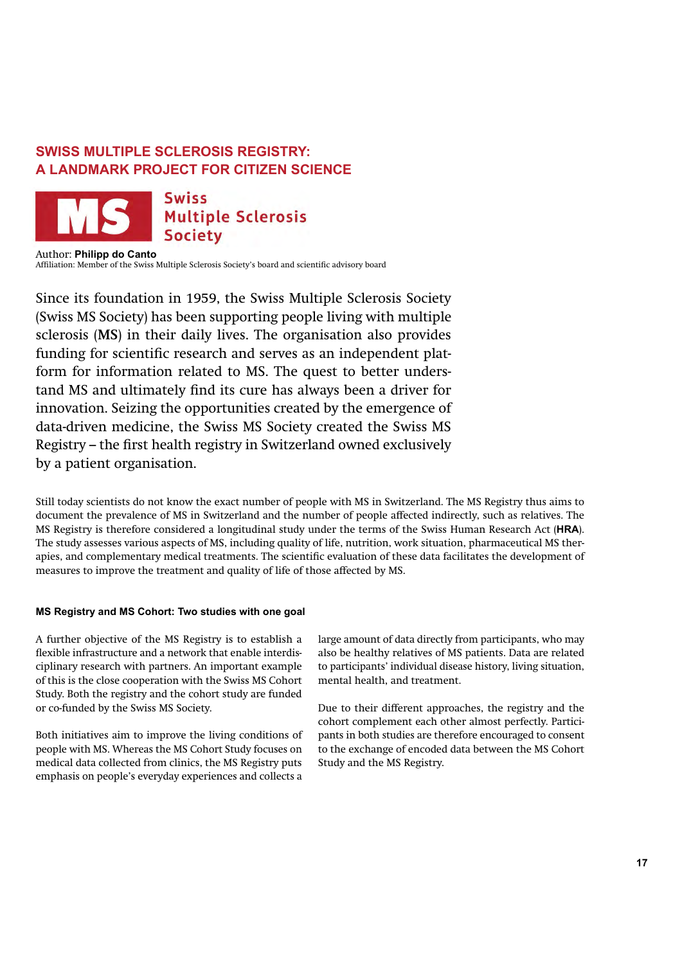# **SWISS MULTIPLE SCLEROSIS REGISTRY: A LANDMARK PROJECT FOR CITIZEN SCIENCE**



Swiss **Multiple Sclerosis Society** 

Author: **Philipp do Canto** Affiliation: Member of the Swiss Multiple Sclerosis Society's board and scientific advisory board

Since its foundation in 1959, the Swiss Multiple Sclerosis Society (Swiss MS Society) has been supporting people living with multiple sclerosis (**MS**) in their daily lives. The organisation also provides funding for scientific research and serves as an independent platform for information related to MS. The quest to better understand MS and ultimately find its cure has always been a driver for innovation. Seizing the opportunities created by the emergence of data-driven medicine, the Swiss MS Society created the Swiss MS Registry – the first health registry in Switzerland owned exclusively by a patient organisation.

Still today scientists do not know the exact number of people with MS in Switzerland. The MS Registry thus aims to document the prevalence of MS in Switzerland and the number of people affected indirectly, such as relatives. The MS Registry is therefore considered a longitudinal study under the terms of the Swiss Human Research Act (**HRA**). The study assesses various aspects of MS, including quality of life, nutrition, work situation, pharmaceutical MS therapies, and complementary medical treatments. The scientific evaluation of these data facilitates the development of measures to improve the treatment and quality of life of those affected by MS.

# **MS Registry and MS Cohort: Two studies with one goal**

A further objective of the MS Registry is to establish a flexible infrastructure and a network that enable interdisciplinary research with partners. An important example of this is the close cooperation with the Swiss MS Cohort Study. Both the registry and the cohort study are funded or co-funded by the Swiss MS Society.

Both initiatives aim to improve the living conditions of people with MS. Whereas the MS Cohort Study focuses on medical data collected from clinics, the MS Registry puts emphasis on people's everyday experiences and collects a large amount of data directly from participants, who may also be healthy relatives of MS patients. Data are related to participants' individual disease history, living situation, mental health, and treatment.

Due to their different approaches, the registry and the cohort complement each other almost perfectly. Participants in both studies are therefore encouraged to consent to the exchange of encoded data between the MS Cohort Study and the MS Registry.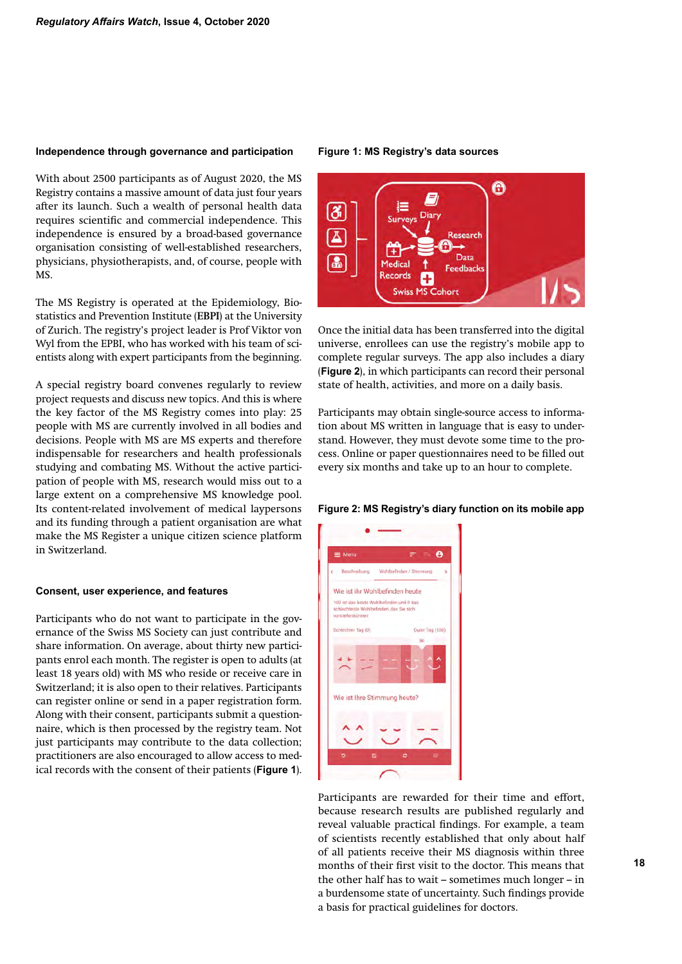#### **Independence through governance and participation**

With about 2500 participants as of August 2020, the MS Registry contains a massive amount of data just four years after its launch. Such a wealth of personal health data requires scientific and commercial independence. This independence is ensured by a broad-based governance organisation consisting of well-established researchers, physicians, physiotherapists, and, of course, people with MS.

The MS Registry is operated at the Epidemiology, Biostatistics and Prevention Institute (**EBPI**) at the University of Zurich. The registry's project leader is Prof Viktor von Wyl from the EPBI, who has worked with his team of scientists along with expert participants from the beginning.

A special registry board convenes regularly to review project requests and discuss new topics. And this is where the key factor of the MS Registry comes into play: 25 people with MS are currently involved in all bodies and decisions. People with MS are MS experts and therefore indispensable for researchers and health professionals studying and combating MS. Without the active participation of people with MS, research would miss out to a large extent on a comprehensive MS knowledge pool. Its content-related involvement of medical laypersons and its funding through a patient organisation are what make the MS Register a unique citizen science platform in Switzerland.

#### **Consent, user experience, and features**

Participants who do not want to participate in the governance of the Swiss MS Society can just contribute and share information. On average, about thirty new participants enrol each month. The register is open to adults (at least 18 years old) with MS who reside or receive care in Switzerland; it is also open to their relatives. Participants can register online or send in a paper registration form. Along with their consent, participants submit a questionnaire, which is then processed by the registry team. Not just participants may contribute to the data collection; practitioners are also encouraged to allow access to medical records with the consent of their patients (**Figure 1**).

#### **Figure 1: MS Registry's data sources**



Once the initial data has been transferred into the digital universe, enrollees can use the registry's mobile app to complete regular surveys. The app also includes a diary (**Figure 2**), in which participants can record their personal state of health, activities, and more on a daily basis.

Participants may obtain single-source access to information about MS written in language that is easy to understand. However, they must devote some time to the process. Online or paper questionnaires need to be filled out every six months and take up to an hour to complete.

### **Figure 2: MS Registry's diary function on its mobile app**



Participants are rewarded for their time and effort, because research results are published regularly and reveal valuable practical findings. For example, a team of scientists recently established that only about half of all patients receive their MS diagnosis within three months of their first visit to the doctor. This means that the other half has to wait – sometimes much longer – in a burdensome state of uncertainty. Such findings provide a basis for practical guidelines for doctors.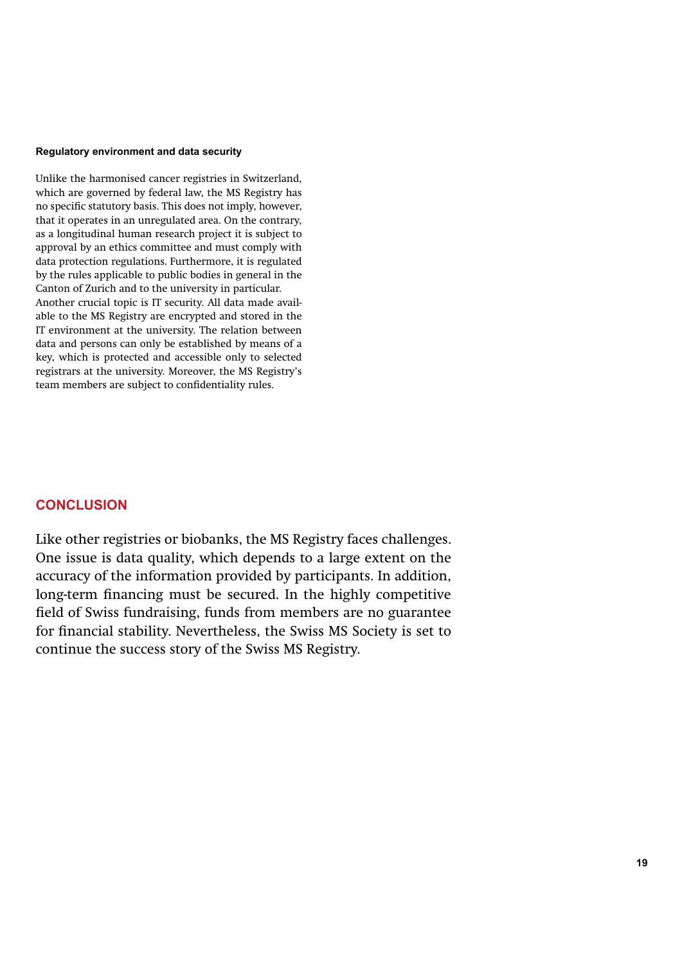#### **Regulatory environment and data security**

Unlike the harmonised cancer registries in Switzerland, which are governed by federal law, the MS Registry has no specific statutory basis. This does not imply, however, that it operates in an unregulated area. On the contrary, as a longitudinal human research project it is subject to approval by an ethics committee and must comply with data protection regulations. Furthermore, it is regulated by the rules applicable to public bodies in general in the Canton of Zurich and to the university in particular. Another crucial topic is IT security. All data made available to the MS Registry are encrypted and stored in the IT environment at the university. The relation between data and persons can only be established by means of a key, which is protected and accessible only to selected registrars at the university. Moreover, the MS Registry's team members are subject to confidentiality rules.

# **CONCLUSION**

Like other registries or biobanks, the MS Registry faces challenges. One issue is data quality, which depends to a large extent on the accuracy of the information provided by participants. In addition, long-term financing must be secured. In the highly competitive field of Swiss fundraising, funds from members are no guarantee for financial stability. Nevertheless, the Swiss MS Society is set to continue the success story of the Swiss MS Registry.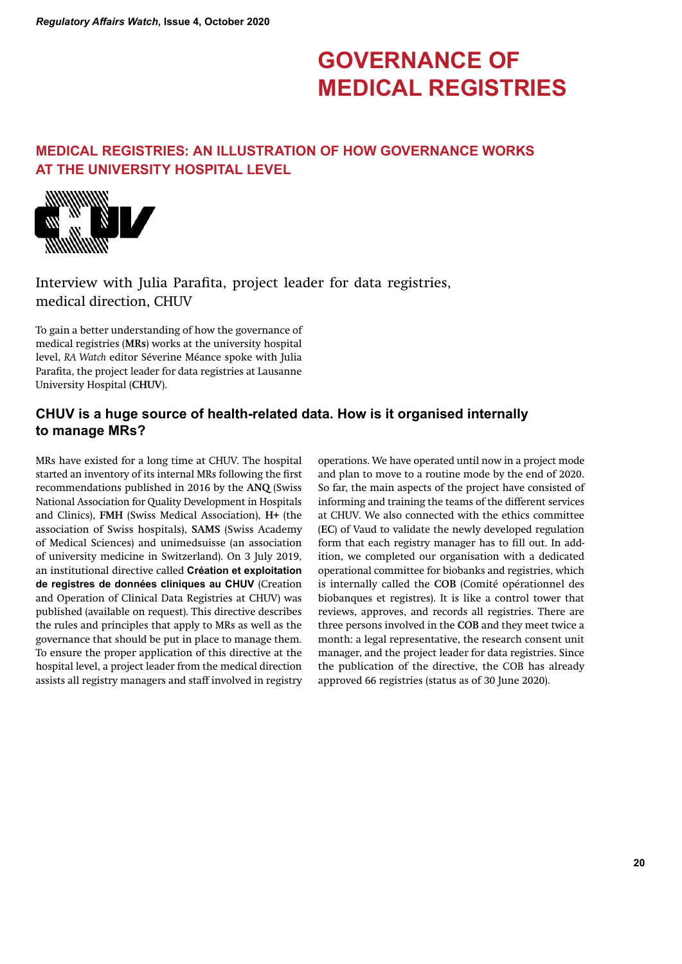# **GOVERNANCE OF MEDICAL REGISTRIES**

# **MEDICAL REGISTRIES: AN ILLUSTRATION OF HOW GOVERNANCE WORKS AT THE UNIVERSITY HOSPITAL LEVEL**



Interview with Julia Parafita, project leader for data registries, medical direction, CHUV

To gain a better understanding of how the governance of medical registries (**MRs**) works at the university hospital level, *RA Watch* editor Séverine Méance spoke with Julia Parafita, the project leader for data registries at Lausanne University Hospital (**CHUV**).

# **CHUV is a huge source of health-related data. How is it organised internally to manage MRs?**

MRs have existed for a long time at CHUV. The hospital started an inventory of its internal MRs following the first recommendations published in 2016 by the **ANQ** (Swiss National Association for Quality Development in Hospitals and Clinics), **FMH** (Swiss Medical Association), **H+** (the association of Swiss hospitals), **SAMS** (Swiss Academy of Medical Sciences) and unimedsuisse (an association of university medicine in Switzerland). On 3 July 2019, an institutional directive called **Création et exploitation de registres de données cliniques au CHUV** (Creation and Operation of Clinical Data Registries at CHUV) was published (available on request). This directive describes the rules and principles that apply to MRs as well as the governance that should be put in place to manage them. To ensure the proper application of this directive at the hospital level, a project leader from the medical direction assists all registry managers and staff involved in registry operations. We have operated until now in a project mode and plan to move to a routine mode by the end of 2020. So far, the main aspects of the project have consisted of informing and training the teams of the different services at CHUV. We also connected with the ethics committee (**EC**) of Vaud to validate the newly developed regulation form that each registry manager has to fill out. In addition, we completed our organisation with a dedicated operational committee for biobanks and registries, which is internally called the **COB** (Comité opérationnel des biobanques et registres). It is like a control tower that reviews, approves, and records all registries. There are three persons involved in the **COB** and they meet twice a month: a legal representative, the research consent unit manager, and the project leader for data registries. Since the publication of the directive, the COB has already approved 66 registries (status as of 30 June 2020).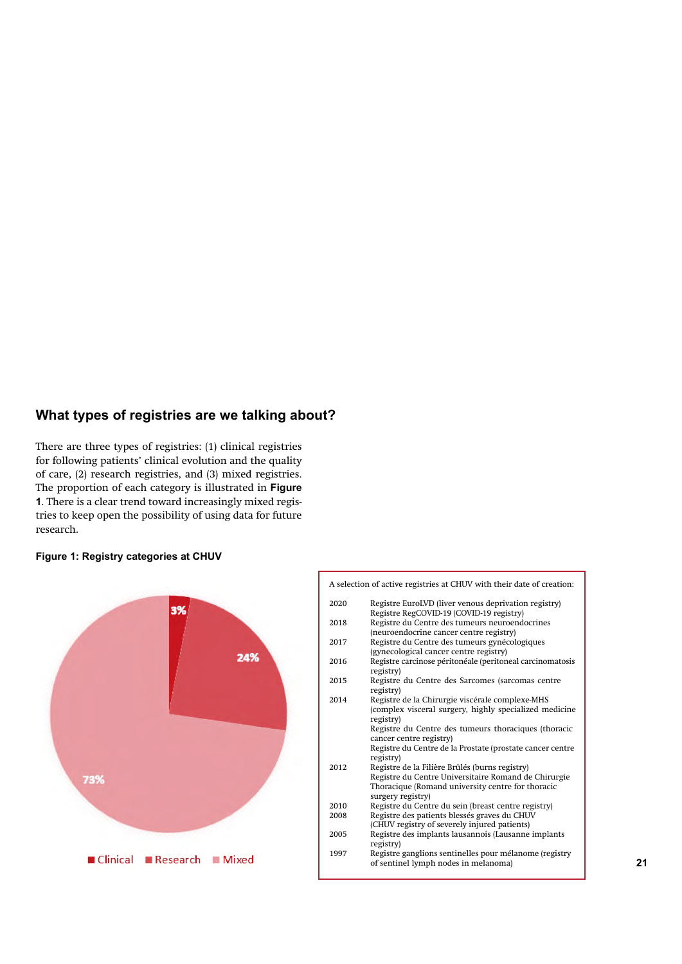# **What types of registries are we talking about?**

There are three types of registries: (1) clinical registries for following patients' clinical evolution and the quality of care, (2) research registries, and (3) mixed registries. The proportion of each category is illustrated in **Figure 1**. There is a clear trend toward increasingly mixed registries to keep open the possibility of using data for future research.

# **Figure 1: Registry categories at CHUV**



|     |                                                                      |     |      | A selection of active registries at CHUV with their date of creation:                            |    |
|-----|----------------------------------------------------------------------|-----|------|--------------------------------------------------------------------------------------------------|----|
|     | 3%                                                                   |     | 2020 | Registre EuroLVD (liver venous deprivation registry)<br>Registre RegCOVID-19 (COVID-19 registry) |    |
|     |                                                                      |     | 2018 | Registre du Centre des tumeurs neuroendocrines                                                   |    |
|     |                                                                      |     |      | (neuroendocrine cancer centre registry)                                                          |    |
|     |                                                                      |     | 2017 | Registre du Centre des tumeurs gynécologiques                                                    |    |
|     |                                                                      | 24% |      | (gynecological cancer centre registry)                                                           |    |
|     |                                                                      |     | 2016 | Registre carcinose péritonéale (peritoneal carcinomatosis                                        |    |
|     |                                                                      |     |      | registry)                                                                                        |    |
|     |                                                                      |     | 2015 | Registre du Centre des Sarcomes (sarcomas centre                                                 |    |
|     |                                                                      |     |      | registry)                                                                                        |    |
|     |                                                                      |     | 2014 | Registre de la Chirurgie viscérale complexe-MHS                                                  |    |
|     |                                                                      |     |      | (complex visceral surgery, highly specialized medicine                                           |    |
|     |                                                                      |     |      | registry)                                                                                        |    |
|     |                                                                      |     |      | Registre du Centre des tumeurs thoraciques (thoracic                                             |    |
|     |                                                                      |     |      | cancer centre registry)                                                                          |    |
|     |                                                                      |     |      | Registre du Centre de la Prostate (prostate cancer centre                                        |    |
|     |                                                                      |     | 2012 | registry)<br>Registre de la Filière Brûlés (burns registry)                                      |    |
|     |                                                                      |     |      | Registre du Centre Universitaire Romand de Chirurgie                                             |    |
| 73% |                                                                      |     |      | Thoracique (Romand university centre for thoracic                                                |    |
|     |                                                                      |     |      | surgery registry)                                                                                |    |
|     |                                                                      |     | 2010 | Registre du Centre du sein (breast centre registry)                                              |    |
|     |                                                                      |     | 2008 | Registre des patients blessés graves du CHUV                                                     |    |
|     |                                                                      |     |      | (CHUV registry of severely injured patients)                                                     |    |
|     |                                                                      |     | 2005 | Registre des implants lausannois (Lausanne implants                                              |    |
|     |                                                                      |     |      | registry)                                                                                        |    |
|     |                                                                      |     | 1997 | Registre ganglions sentinelles pour mélanome (registry                                           |    |
|     | $\blacksquare$ Clinical $\blacksquare$ Research $\blacksquare$ Mixed |     |      | of sentinel lymph nodes in melanoma)                                                             | 21 |
|     |                                                                      |     |      |                                                                                                  |    |
|     |                                                                      |     |      |                                                                                                  |    |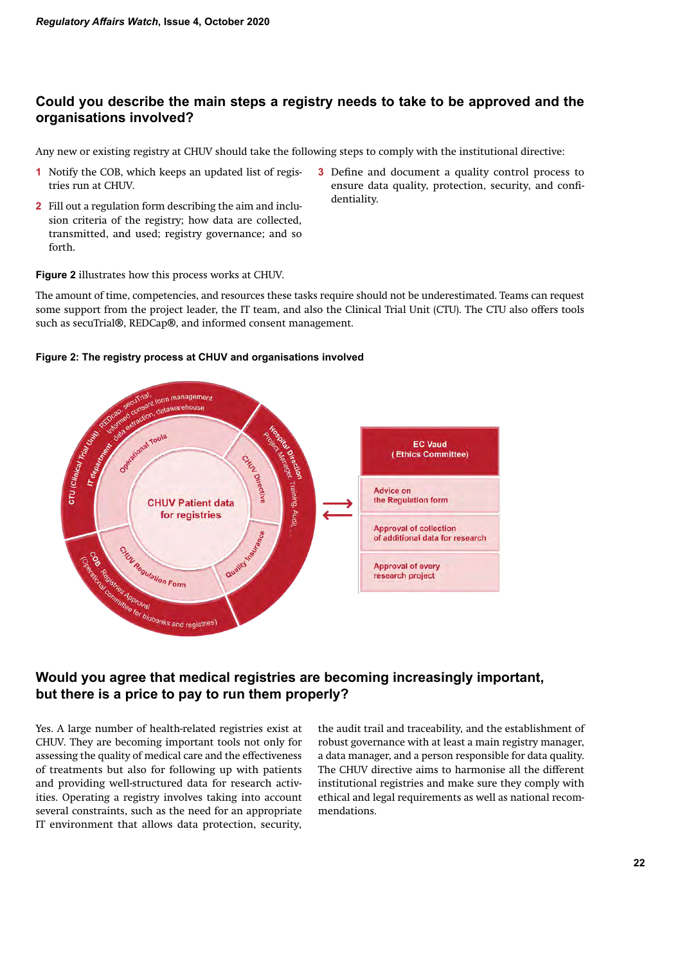# **Could you describe the main steps a registry needs to take to be approved and the organisations involved?**

Any new or existing registry at CHUV should take the following steps to comply with the institutional directive:

- **1** Notify the COB, which keeps an updated list of registries run at CHUV.
- **2** Fill out a regulation form describing the aim and inclusion criteria of the registry; how data are collected, transmitted, and used; registry governance; and so forth.
- **3** Define and document a quality control process to ensure data quality, protection, security, and confidentiality.

# **Figure 2** illustrates how this process works at CHUV.

The amount of time, competencies, and resources these tasks require should not be underestimated. Teams can request some support from the project leader, the IT team, and also the Clinical Trial Unit (CTU). The CTU also offers tools such as secuTrial®, REDCap®, and informed consent management.

# **Figure 2: The registry process at CHUV and organisations involved**



# **Would you agree that medical registries are becoming increasingly important, but there is a price to pay to run them properly?**

Yes. A large number of health-related registries exist at CHUV. They are becoming important tools not only for assessing the quality of medical care and the effectiveness of treatments but also for following up with patients and providing well-structured data for research activities. Operating a registry involves taking into account several constraints, such as the need for an appropriate IT environment that allows data protection, security,

the audit trail and traceability, and the establishment of robust governance with at least a main registry manager, a data manager, and a person responsible for data quality. The CHUV directive aims to harmonise all the different institutional registries and make sure they comply with ethical and legal requirements as well as national recommendations.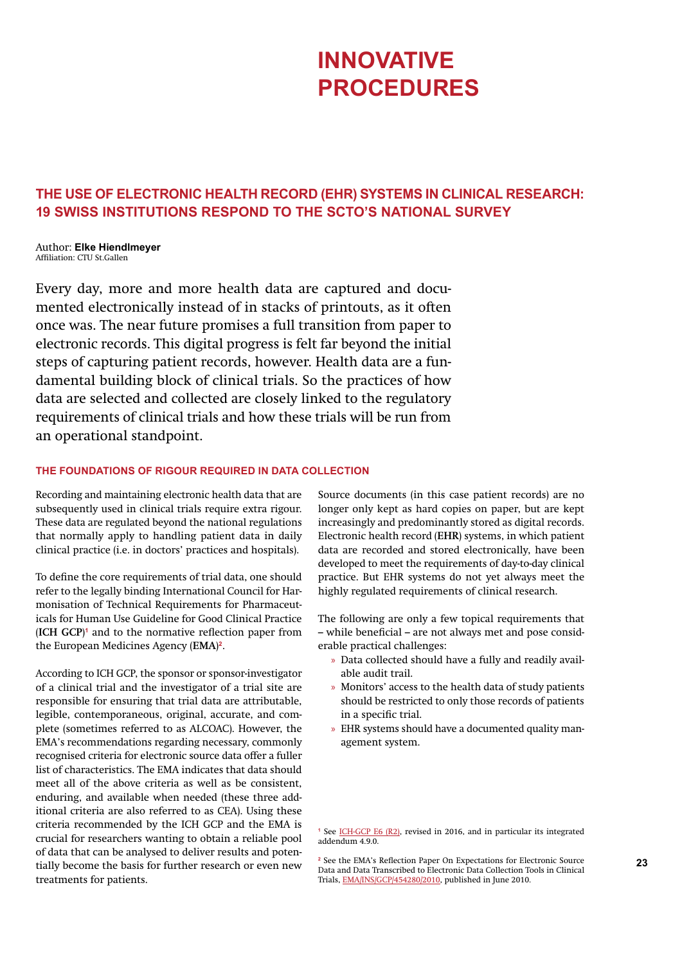# **INNOVATIVE PROCEDURES**

# **THE USE OF ELECTRONIC HEALTH RECORD (EHR) SYSTEMS IN CLINICAL RESEARCH: 19 SWISS INSTITUTIONS RESPOND TO THE SCTO'S NATIONAL SURVEY**

Author: **Elke Hiendlmeyer** Affiliation: CTU St.Gallen

Every day, more and more health data are captured and documented electronically instead of in stacks of printouts, as it often once was. The near future promises a full transition from paper to electronic records. This digital progress is felt far beyond the initial steps of capturing patient records, however. Health data are a fundamental building block of clinical trials. So the practices of how data are selected and collected are closely linked to the regulatory requirements of clinical trials and how these trials will be run from an operational standpoint.

# **THE FOUNDATIONS OF RIGOUR REQUIRED IN DATA COLLECTION**

Recording and maintaining electronic health data that are subsequently used in clinical trials require extra rigour. These data are regulated beyond the national regulations that normally apply to handling patient data in daily clinical practice (i.e. in doctors' practices and hospitals).

To define the core requirements of trial data, one should refer to the legally binding International Council for Harmonisation of Technical Requirements for Pharmaceuticals for Human Use Guideline for Good Clinical Practice (**ICH GCP**) **1** and to the normative reflection paper from the European Medicines Agency (**EMA**) **2**.

<sup>23</sup> the EMA's Kellection Paper On Expectations for Electronic Source<br>Collection Tools in Clinical and Data Transcribed to Electronic Data Collection Tools in Clinical According to ICH GCP, the sponsor or sponsor-investigator of a clinical trial and the investigator of a trial site are responsible for ensuring that trial data are attributable, legible, contemporaneous, original, accurate, and complete (sometimes referred to as ALCOAC). However, the EMA's recommendations regarding necessary, commonly recognised criteria for electronic source data offer a fuller list of characteristics. The EMA indicates that data should meet all of the above criteria as well as be consistent, enduring, and available when needed (these three additional criteria are also referred to as CEA). Using these criteria recommended by the ICH GCP and the EMA is crucial for researchers wanting to obtain a reliable pool of data that can be analysed to deliver results and potentreatments for patients.

Source documents (in this case patient records) are no longer only kept as hard copies on paper, but are kept increasingly and predominantly stored as digital records. Electronic health record (**EHR**) systems, in which patient data are recorded and stored electronically, have been developed to meet the requirements of day-to-day clinical practice. But EHR systems do not yet always meet the highly regulated requirements of clinical research.

The following are only a few topical requirements that – while beneficial – are not always met and pose considerable practical challenges:

- » Data collected should have a fully and readily available audit trail.
- » Monitors' access to the health data of study patients should be restricted to only those records of patients in a specific trial.
- » EHR systems should have a documented quality management system.

**<sup>1</sup>** See ICH-GCP E6 (R2), revised in 2016, and in particular its integrated addendum 4.9.0.

**<sup>2</sup>** See the EMA's Reflection Paper On Expectations for Electronic Source Data and Data Transcribed to Electronic Data Collection Tools in Clinical Trials, EMA/INS/GCP/454280/2010, published in June 2010.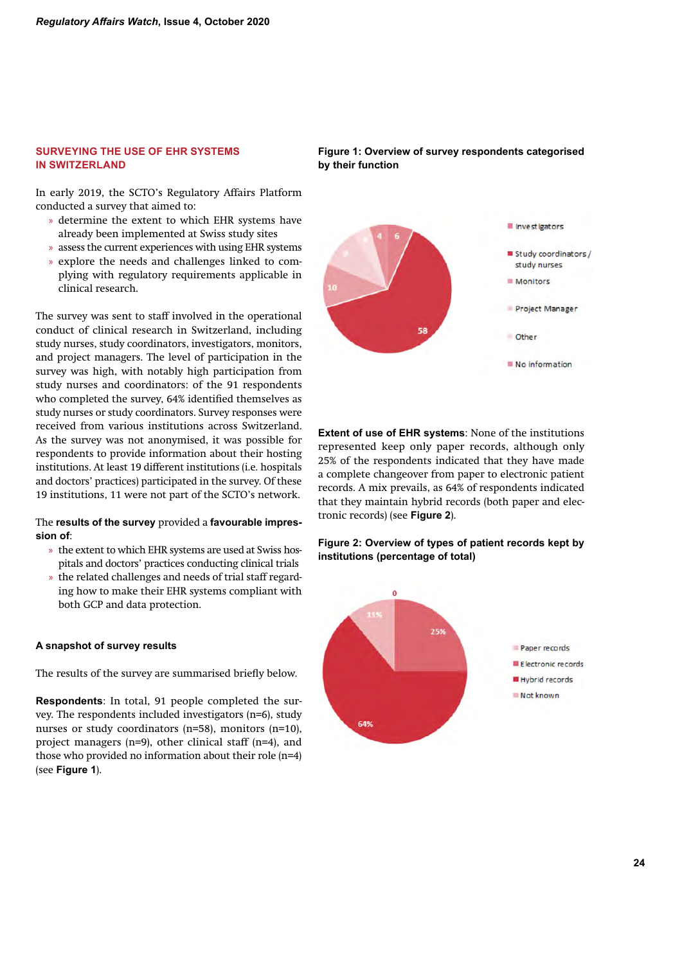# **SURVEYING THE USE OF EHR SYSTEMS IN SWITZERLAND**

In early 2019, the SCTO's Regulatory Affairs Platform conducted a survey that aimed to:

- » determine the extent to which EHR systems have already been implemented at Swiss study sites
- » assess the current experiences with using EHR systems
- » explore the needs and challenges linked to complying with regulatory requirements applicable in clinical research.

The survey was sent to staff involved in the operational conduct of clinical research in Switzerland, including study nurses, study coordinators, investigators, monitors, and project managers. The level of participation in the survey was high, with notably high participation from study nurses and coordinators: of the 91 respondents who completed the survey, 64% identified themselves as study nurses or study coordinators. Survey responses were received from various institutions across Switzerland. As the survey was not anonymised, it was possible for respondents to provide information about their hosting institutions. At least 19 different institutions (i.e. hospitals and doctors' practices) participated in the survey. Of these 19 institutions, 11 were not part of the SCTO's network.

# The **results of the survey** provided a **favourable impression of**:

- » the extent to which EHR systems are used at Swiss hospitals and doctors' practices conducting clinical trials
- » the related challenges and needs of trial staff regarding how to make their EHR systems compliant with both GCP and data protection.

### **A snapshot of survey results**

The results of the survey are summarised briefly below.

**Respondents**: In total, 91 people completed the survey. The respondents included investigators (n=6), study nurses or study coordinators (n=58), monitors (n=10), project managers (n=9), other clinical staff (n=4), and those who provided no information about their role (n=4) (see **Figure 1**).



# **Figure 1: Overview of survey respondents categorised by their function**

**Extent of use of EHR systems**: None of the institutions represented keep only paper records, although only 25% of the respondents indicated that they have made a complete changeover from paper to electronic patient records. A mix prevails, as 64% of respondents indicated that they maintain hybrid records (both paper and electronic records) (see **Figure 2**).

# **Figure 2: Overview of types of patient records kept by institutions (percentage of total)**

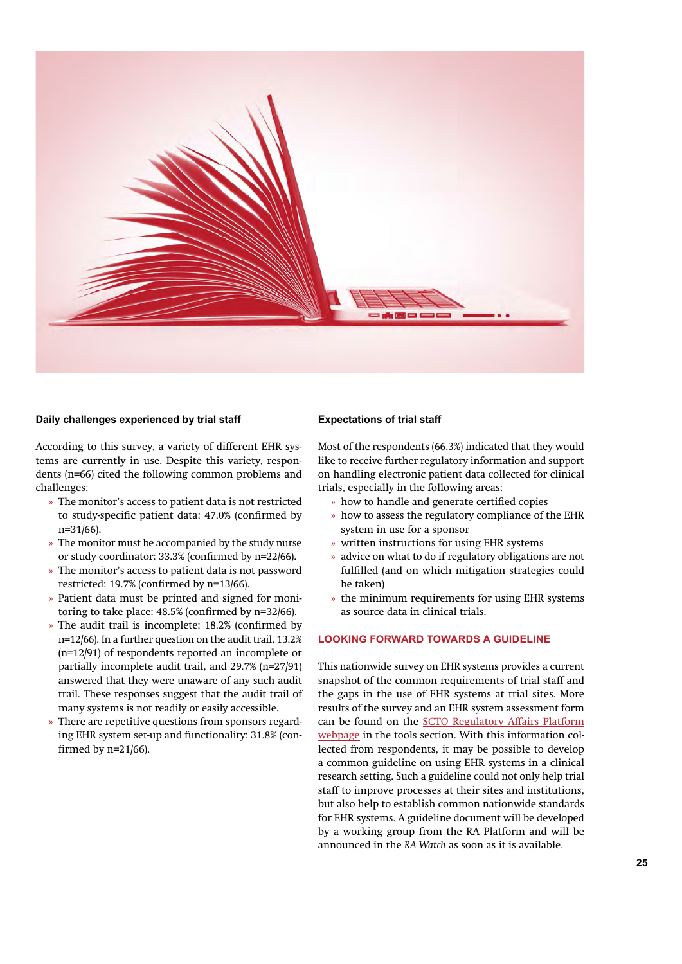

#### **Daily challenges experienced by trial staff**

According to this survey, a variety of different EHR systems are currently in use. Despite this variety, respondents (n=66) cited the following common problems and challenges:

- » The monitor's access to patient data is not restricted to study-specific patient data: 47.0% (confirmed by n=31/66).
- » The monitor must be accompanied by the study nurse or study coordinator: 33.3% (confirmed by n=22/66).
- » The monitor's access to patient data is not password restricted: 19.7% (confirmed by n=13/66).
- » Patient data must be printed and signed for monitoring to take place: 48.5% (confirmed by n=32/66).
- » The audit trail is incomplete: 18.2% (confirmed by n=12/66). In a further question on the audit trail, 13.2% (n=12/91) of respondents reported an incomplete or partially incomplete audit trail, and 29.7% (n=27/91) answered that they were unaware of any such audit trail. These responses suggest that the audit trail of many systems is not readily or easily accessible.
- » There are repetitive questions from sponsors regarding EHR system set-up and functionality: 31.8% (confirmed by n=21/66).

#### **Expectations of trial staff**

Most of the respondents (66.3%) indicated that they would like to receive further regulatory information and support on handling electronic patient data collected for clinical trials, especially in the following areas:

- » how to handle and generate certified copies
- » how to assess the regulatory compliance of the EHR system in use for a sponsor
- » written instructions for using EHR systems
- » advice on what to do if regulatory obligations are not fulfilled (and on which mitigation strategies could be taken)
- » the minimum requirements for using EHR systems as source data in clinical trials.

# **LOOKING FORWARD TOWARDS A GUIDELINE**

This nationwide survey on EHR systems provides a current snapshot of the common requirements of trial staff and the gaps in the use of EHR systems at trial sites. More results of the survey and an EHR system assessment form can be found on the SCTO Regulatory Affairs Platform webpage in the tools section. With this information collected from respondents, it may be possible to develop a common guideline on using EHR systems in a clinical research setting. Such a guideline could not only help trial staff to improve processes at their sites and institutions, but also help to establish common nationwide standards for EHR systems. A guideline document will be developed by a working group from the RA Platform and will be announced in the *RA Watch* as soon as it is available.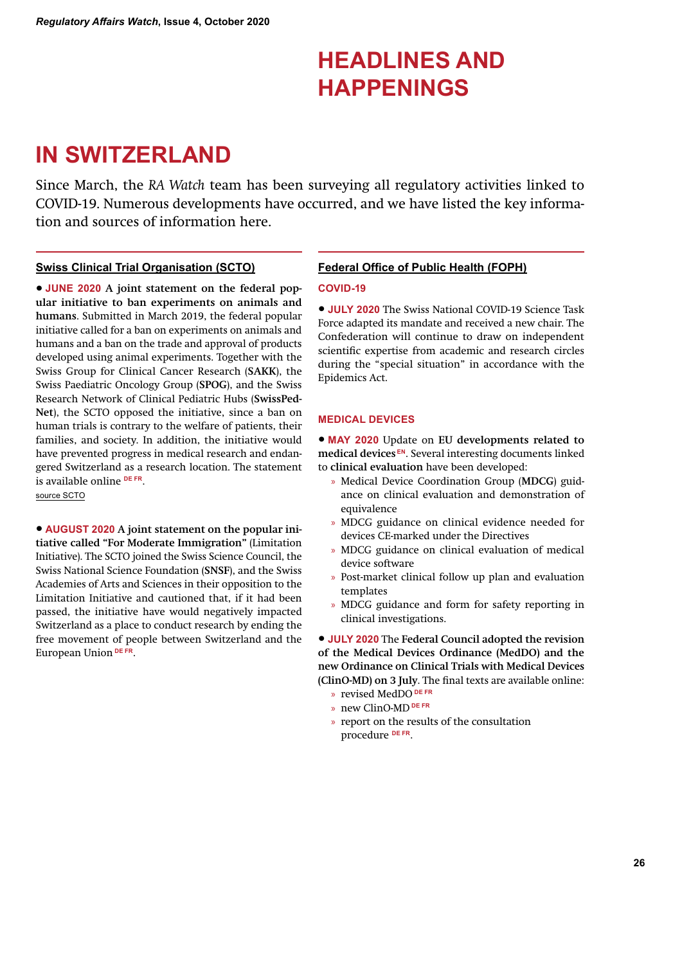# **HEADLINES AND HAPPENINGS**

# **IN SWITZERLAND**

Since March, the *RA Watch* team has been surveying all regulatory activities linked to COVID-19. Numerous developments have occurred, and we have listed the key information and sources of information here.

# **Swiss Clinical Trial Organisation (SCTO)**

• **JUNE 2020 A joint statement on the federal popular initiative to ban experiments on animals and humans**. Submitted in March 2019, the federal popular initiative called for a ban on experiments on animals and humans and a ban on the trade and approval of products developed using animal experiments. Together with the Swiss Group for Clinical Cancer Research (**SAKK**), the Swiss Paediatric Oncology Group (**SPOG**), and the Swiss Research Network of Clinical Pediatric Hubs (**SwissPed-Net**), the SCTO opposed the initiative, since a ban on human trials is contrary to the welfare of patients, their families, and society. In addition, the initiative would have prevented progress in medical research and endangered Switzerland as a research location. The statement is available online **DE FR**. source SCTO

• **AUGUST 2020 A joint statement on the popular initiative called "For Moderate Immigration"** (Limitation Initiative). The SCTO joined the Swiss Science Council, the Swiss National Science Foundation (**SNSF**), and the Swiss Academies of Arts and Sciences in their opposition to the Limitation Initiative and cautioned that, if it had been passed, the initiative have would negatively impacted Switzerland as a place to conduct research by ending the free movement of people between Switzerland and the European Union **DE FR**.

# **Federal Office of Public Health (FOPH)**

### **COVID-19**

• **JULY 2020** The Swiss National COVID-19 Science Task Force adapted its mandate and received a new chair. The Confederation will continue to draw on independent scientific expertise from academic and research circles during the "special situation" in accordance with the Epidemics Act.

# **MEDICAL DEVICES**

• **MAY 2020** Update on **EU developments related to medical devices EN**. Several interesting documents linked to **clinical evaluation** have been developed:

- » Medical Device Coordination Group (**MDCG**) guidance on clinical evaluation and demonstration of equivalence
- » MDCG guidance on clinical evidence needed for devices CE-marked under the Directives
- » MDCG guidance on clinical evaluation of medical device software
- » Post-market clinical follow up plan and evaluation templates
- » MDCG guidance and form for safety reporting in clinical investigations.

• **JULY 2020** The **Federal Council adopted the revision of the Medical Devices Ordinance (MedDO) and the new Ordinance on Clinical Trials with Medical Devices (ClinO-MD) on 3 July**. The final texts are available online:

- » revised MedDO **DE FR**
- » new ClinO-MD **DE FR**
- » report on the results of the consultation procedure **DE FR**.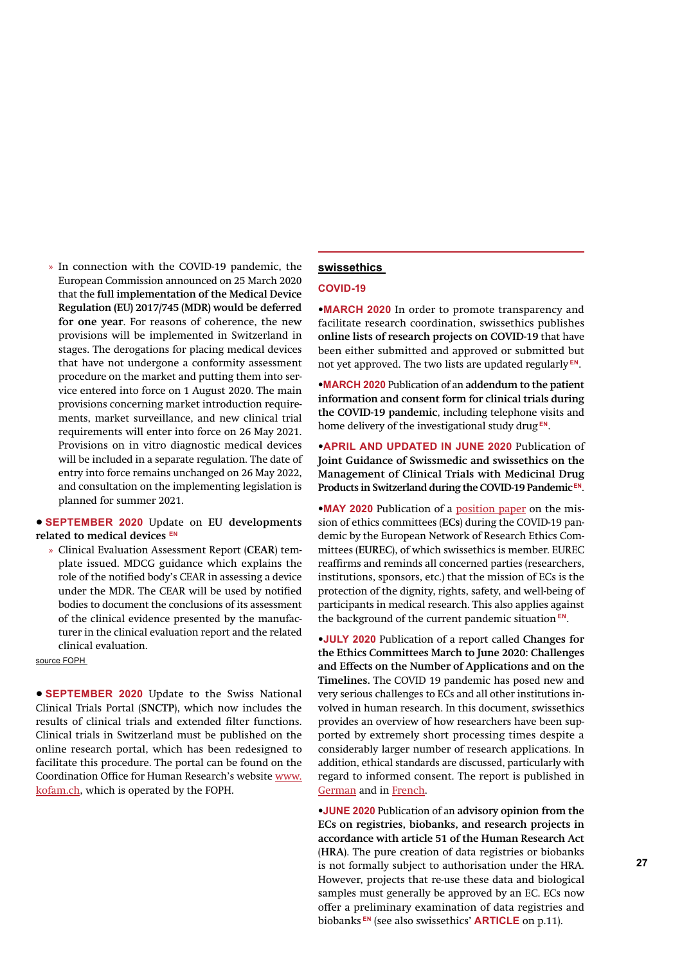» In connection with the COVID-19 pandemic, the European Commission announced on 25 March 2020 that the **full implementation of the Medical Device Regulation (EU) 2017/745 (MDR) would be deferred for one year**. For reasons of coherence, the new provisions will be implemented in Switzerland in stages. The derogations for placing medical devices that have not undergone a conformity assessment procedure on the market and putting them into service entered into force on 1 August 2020. The main provisions concerning market introduction requirements, market surveillance, and new clinical trial requirements will enter into force on 26 May 2021. Provisions on in vitro diagnostic medical devices will be included in a separate regulation. The date of entry into force remains unchanged on 26 May 2022, and consultation on the implementing legislation is planned for summer 2021.

• **SEPTEMBER 2020** Update on **EU developments related to medical devices EN**

» Clinical Evaluation Assessment Report (**CEAR**) template issued. MDCG guidance which explains the role of the notified body's CEAR in assessing a device under the MDR. The CEAR will be used by notified bodies to document the conclusions of its assessment of the clinical evidence presented by the manufacturer in the clinical evaluation report and the related clinical evaluation.

source FOPH

• **SEPTEMBER 2020** Update to the Swiss National Clinical Trials Portal (**SNCTP**), which now includes the results of clinical trials and extended filter functions. Clinical trials in Switzerland must be published on the online research portal, which has been redesigned to facilitate this procedure. The portal can be found on the Coordination Office for Human Research's website www. kofam.ch, which is operated by the FOPH.

# **swissethics**

#### **COVID-19**

•**MARCH 2020** In order to promote transparency and facilitate research coordination, swissethics publishes **online lists of research projects on COVID-19** that have been either submitted and approved or submitted but not yet approved. The two lists are updated regularly **EN**.

•**MARCH 2020** Publication of an **addendum to the patient information and consent form for clinical trials during the COVID-19 pandemic**, including telephone visits and home delivery of the investigational study drug **EN**.

•**APRIL AND UPDATED IN JUNE 2020** Publication of **Joint Guidance of Swissmedic and swissethics on the Management of Clinical Trials with Medicinal Drug Products in Switzerland during the COVID-19 Pandemic EN**.

•**MAY 2020** Publication of a position paper on the mission of ethics committees (**ECs**) during the COVID-19 pandemic by the European Network of Research Ethics Committees (**EUREC**), of which swissethics is member. EUREC reaffirms and reminds all concerned parties (researchers, institutions, sponsors, etc.) that the mission of ECs is the protection of the dignity, rights, safety, and well-being of participants in medical research. This also applies against the background of the current pandemic situation **EN**.

•**JULY 2020** Publication of a report called **Changes for the Ethics Committees March to June 2020: Challenges and Effects on the Number of Applications and on the Timelines.** The COVID 19 pandemic has posed new and very serious challenges to ECs and all other institutions involved in human research. In this document, swissethics provides an overview of how researchers have been supported by extremely short processing times despite a considerably larger number of research applications. In addition, ethical standards are discussed, particularly with regard to informed consent. The report is published in German and in French.

**26 27** is not formally subject to authorisation under the HRA. •**JUNE 2020** Publication of an **advisory opinion from the ECs on registries, biobanks, and research projects in accordance with article 51 of the Human Research Act**  (**HRA**). The pure creation of data registries or biobanks However, projects that re-use these data and biological samples must generally be approved by an EC. ECs now offer a preliminary examination of data registries and biobanks **EN** (see also swissethics' **ARTICLE** on p.11).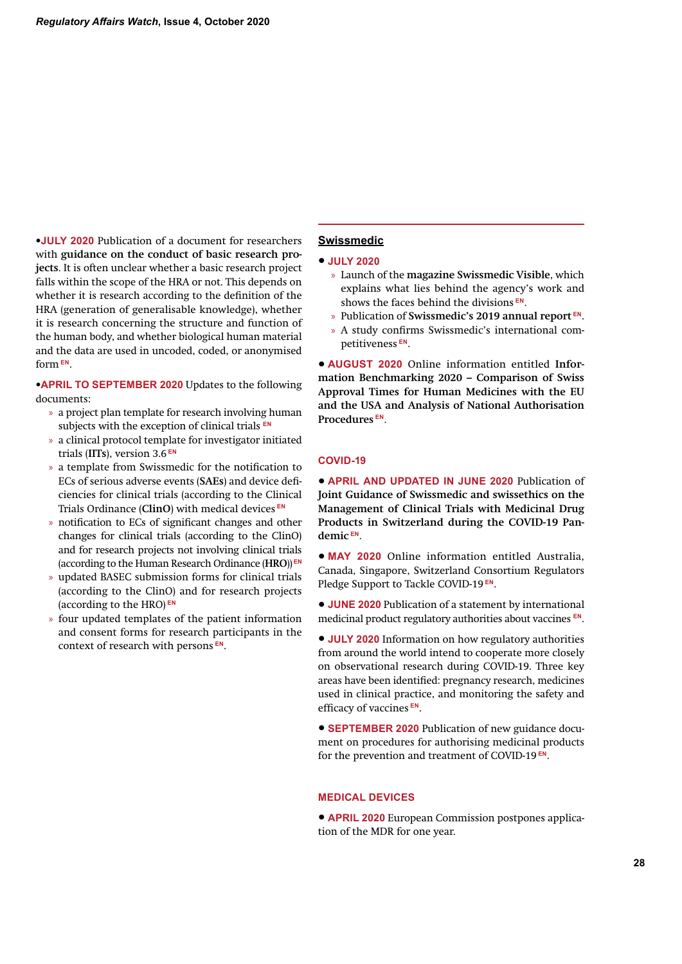•**JULY 2020** Publication of a document for researchers with **guidance on the conduct of basic research projects**. It is often unclear whether a basic research project falls within the scope of the HRA or not. This depends on whether it is research according to the definition of the HRA (generation of generalisable knowledge), whether it is research concerning the structure and function of the human body, and whether biological human material and the data are used in uncoded, coded, or anonymised form **EN**.

•**APRIL TO SEPTEMBER 2020** Updates to the following documents:

- » a project plan template for research involving human subjects with the exception of clinical trials **EN**
- » a clinical protocol template for investigator initiated trials (**IITs**), version 3.6 **EN**
- » a template from Swissmedic for the notification to ECs of serious adverse events (**SAEs**) and device deficiencies for clinical trials (according to the Clinical Trials Ordinance (**ClinO**) with medical devices **EN**
- » notification to ECs of significant changes and other changes for clinical trials (according to the ClinO) and for research projects not involving clinical trials (according to the Human Research Ordinance (**HRO**)) **EN**
- » updated BASEC submission forms for clinical trials (according to the ClinO) and for research projects (according to the HRO) **EN**
- » four updated templates of the patient information and consent forms for research participants in the context of research with persons **EN**.

# **Swissmedic**

- **JULY 2020**
	- » Launch of the **magazine Swissmedic Visible**, which explains what lies behind the agency's work and shows the faces behind the divisions **EN**.
	- » Publication of **Swissmedic's 2019 annual report EN**.
	- » A study confirms Swissmedic's international competitiveness **EN**.

• **AUGUST 2020** Online information entitled **Information Benchmarking 2020 – Comparison of Swiss Approval Times for Human Medicines with the EU and the USA and Analysis of National Authorisation Procedures EN**.

#### **COVID-19**

• **APRIL AND UPDATED IN JUNE 2020** Publication of **Joint Guidance of Swissmedic and swissethics on the Management of Clinical Trials with Medicinal Drug Products in Switzerland during the COVID-19 Pandemic EN**.

• **MAY 2020** Online information entitled Australia, Canada, Singapore, Switzerland Consortium Regulators Pledge Support to Tackle COVID-19 **EN**.

• **JUNE 2020** Publication of a statement by international medicinal product regulatory authorities about vaccines **EN**.

• **JULY 2020** Information on how regulatory authorities from around the world intend to cooperate more closely on observational research during COVID-19. Three key areas have been identified: pregnancy research, medicines used in clinical practice, and monitoring the safety and efficacy of vaccines **EN**.

• **SEPTEMBER 2020** Publication of new guidance document on procedures for authorising medicinal products for the prevention and treatment of COVID-19 **EN**.

#### **MEDICAL DEVICES**

• **APRIL 2020** European Commission postpones application of the MDR for one year.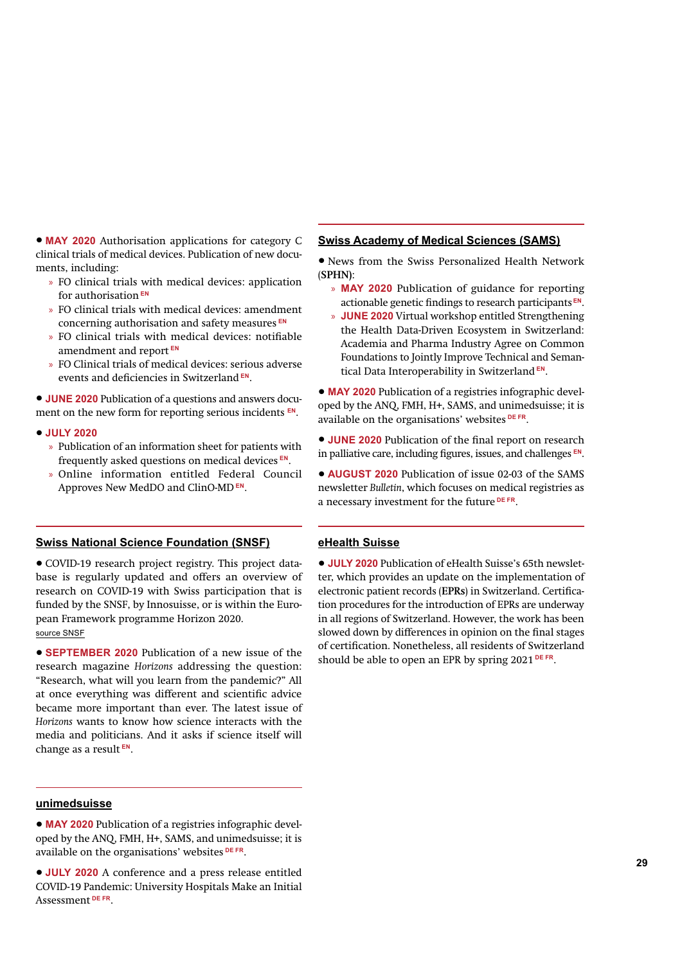• **MAY 2020** Authorisation applications for category C clinical trials of medical devices. Publication of new documents, including:

- » FO clinical trials with medical devices: application for authorisation **EN**
- » FO clinical trials with medical devices: amendment concerning authorisation and safety measures **EN**
- » FO clinical trials with medical devices: notifiable amendment and report **EN**
- » FO Clinical trials of medical devices: serious adverse events and deficiencies in Switzerland **EN**.

• **JUNE 2020** Publication of a questions and answers document on the new form for reporting serious incidents **EN**.

- **JULY 2020** 
	- » Publication of an information sheet for patients with frequently asked questions on medical devices **EN**.
	- » Online information entitled Federal Council Approves New MedDO and ClinO-MD **EN**.

# **Swiss National Science Foundation (SNSF)**

• COVID-19 research project registry. This project database is regularly updated and offers an overview of research on COVID-19 with Swiss participation that is funded by the SNSF, by Innosuisse, or is within the European Framework programme Horizon 2020. source SNSF

• **SEPTEMBER 2020** Publication of a new issue of the research magazine *Horizons* addressing the question: "Research, what will you learn from the pandemic?" All at once everything was different and scientific advice became more important than ever. The latest issue of *Horizons* wants to know how science interacts with the media and politicians. And it asks if science itself will change as a result **EN**.

## **unimedsuisse**

• **MAY 2020** Publication of a registries infographic developed by the ANQ, FMH, H+, SAMS, and unimedsuisse; it is available on the organisations' websites **DE FR**.

**28 29** • **JULY 2020** A conference and a press release entitled COVID-19 Pandemic: University Hospitals Make an Initial Assessment **DE FR**.

#### **Swiss Academy of Medical Sciences (SAMS)**

- News from the Swiss Personalized Health Network (**SPHN)**:
	- » **MAY 2020** Publication of guidance for reporting actionable genetic findings to research participants **EN**.
	- » **JUNE 2020** Virtual workshop entitled Strengthening the Health Data-Driven Ecosystem in Switzerland: Academia and Pharma Industry Agree on Common Foundations to Jointly Improve Technical and Semantical Data Interoperability in Switzerland **EN**.

• **MAY 2020** Publication of a registries infographic developed by the ANQ, FMH, H+, SAMS, and unimedsuisse; it is available on the organisations' websites **DE FR**.

• **JUNE 2020** Publication of the final report on research in palliative care, including figures, issues, and challenges **EN**.

• **AUGUST 2020** Publication of issue 02-03 of the SAMS newsletter *Bulletin*, which focuses on medical registries as a necessary investment for the future **DE FR**.

# **eHealth Suisse**

• **JULY 2020** Publication of eHealth Suisse's 65th newsletter, which provides an update on the implementation of electronic patient records (**EPRs**) in Switzerland. Certification procedures for the introduction of EPRs are underway in all regions of Switzerland. However, the work has been slowed down by differences in opinion on the final stages of certification. Nonetheless, all residents of Switzerland should be able to open an EPR by spring 2021 **DE FR**.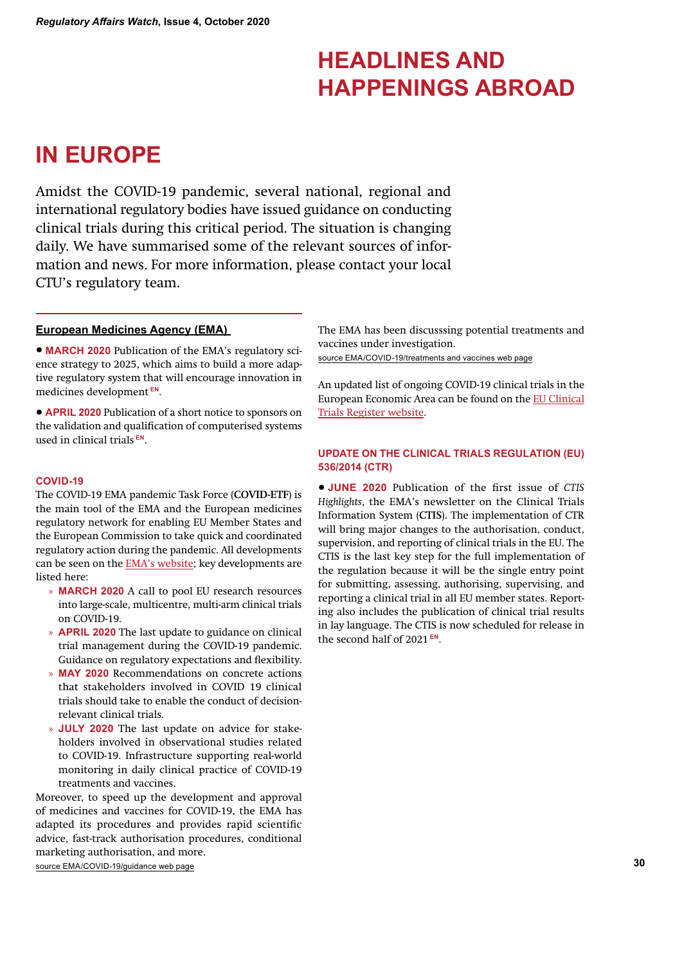# **HEADLINES AND HAPPENINGS ABROAD**

# **IN EUROPE**

Amidst the COVID-19 pandemic, several national, regional and international regulatory bodies have issued guidance on conducting clinical trials during this critical period. The situation is changing daily. We have summarised some of the relevant sources of information and news. For more information, please contact your local CTU's regulatory team.

### **European Medicines Agency (EMA)**

• **MARCH 2020** Publication of the EMA's regulatory science strategy to 2025, which aims to build a more adaptive regulatory system that will encourage innovation in medicines development **EN**.

• **APRIL 2020** Publication of a short notice to sponsors on the validation and qualification of computerised systems used in clinical trials **EN**.

### **COVID-19**

The COVID-19 EMA pandemic Task Force (**COVID-ETF**) is the main tool of the EMA and the European medicines regulatory network for enabling EU Member States and the European Commission to take quick and coordinated regulatory action during the pandemic. All developments can be seen on the EMA's website; key developments are listed here:

- » **MARCH 2020** A call to pool EU research resources into large-scale, multicentre, multi-arm clinical trials on COVID-19.
- » **APRIL 2020** The last update to guidance on clinical trial management during the COVID-19 pandemic. Guidance on regulatory expectations and flexibility.
- » **MAY 2020** Recommendations on concrete actions that stakeholders involved in COVID 19 clinical trials should take to enable the conduct of decisionrelevant clinical trials.
- » **JULY 2020** The last update on advice for stakeholders involved in observational studies related to COVID-19. Infrastructure supporting real-world monitoring in daily clinical practice of COVID-19 treatments and vaccines.

Moreover, to speed up the development and approval of medicines and vaccines for COVID-19, the EMA has adapted its procedures and provides rapid scientific advice, fast-track authorisation procedures, conditional marketing authorisation, and more.

source EMA/COVID-19/guidance web page

The EMA has been discusssing potential treatments and vaccines under investigation.

source EMA/COVID-19/treatments and vaccines web page

An updated list of ongoing COVID-19 clinical trials in the European Economic Area can be found on the EU Clinical Trials Register website.

# **UPDATE ON THE CLINICAL TRIALS REGULATION (EU) 536/2014 (CTR)**

• **JUNE 2020** Publication of the first issue of *CTIS Highlights*, the EMA's newsletter on the Clinical Trials Information System (**CTIS**). The implementation of CTR will bring major changes to the authorisation, conduct, supervision, and reporting of clinical trials in the EU. The CTIS is the last key step for the full implementation of the regulation because it will be the single entry point for submitting, assessing, authorising, supervising, and reporting a clinical trial in all EU member states. Reporting also includes the publication of clinical trial results in lay language. The CTIS is now scheduled for release in the second half of 2021 **EN**.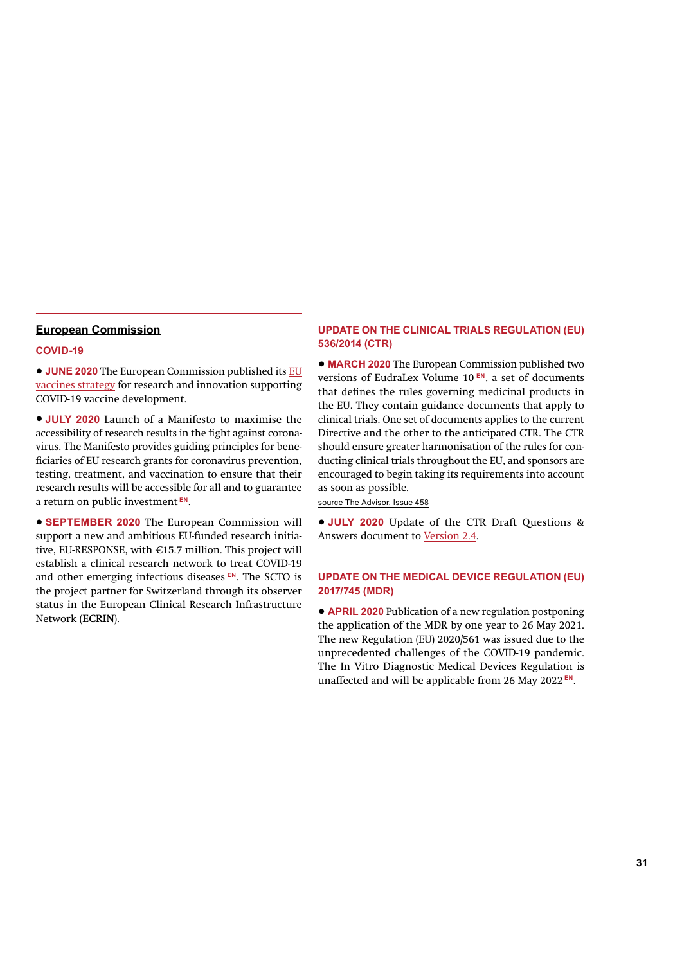#### **European Commission**

### **COVID-19**

• **JUNE 2020** The European Commission published its EU vaccines strategy for research and innovation supporting COVID-19 vaccine development.

• **JULY 2020** Launch of a Manifesto to maximise the accessibility of research results in the fight against coronavirus. The Manifesto provides guiding principles for beneficiaries of EU research grants for coronavirus prevention, testing, treatment, and vaccination to ensure that their research results will be accessible for all and to guarantee a return on public investment **EN**.

• **SEPTEMBER 2020** The European Commission will support a new and ambitious EU-funded research initiative, EU-RESPONSE, with €15.7 million. This project will establish a clinical research network to treat COVID-19 and other emerging infectious diseases **EN**. The SCTO is the project partner for Switzerland through its observer status in the European Clinical Research Infrastructure Network (**ECRIN**).

# **UPDATE ON THE CLINICAL TRIALS REGULATION (EU) 536/2014 (CTR)**

• **MARCH 2020** The European Commission published two versions of EudraLex Volume 10 **EN**, a set of documents that defines the rules governing medicinal products in the EU. They contain guidance documents that apply to clinical trials. One set of documents applies to the current Directive and the other to the anticipated CTR. The CTR should ensure greater harmonisation of the rules for conducting clinical trials throughout the EU, and sponsors are encouraged to begin taking its requirements into account as soon as possible.

source The Advisor, Issue 458

• **JULY 2020** Update of the CTR Draft Questions & Answers document to Version 2.4.

# **UPDATE ON THE MEDICAL DEVICE REGULATION (EU) 2017/745 (MDR)**

• **APRIL 2020** Publication of a new regulation postponing the application of the MDR by one year to 26 May 2021. The new Regulation (EU) 2020/561 was issued due to the unprecedented challenges of the COVID-19 pandemic. The In Vitro Diagnostic Medical Devices Regulation is unaffected and will be applicable from 26 May 2022 **EN**.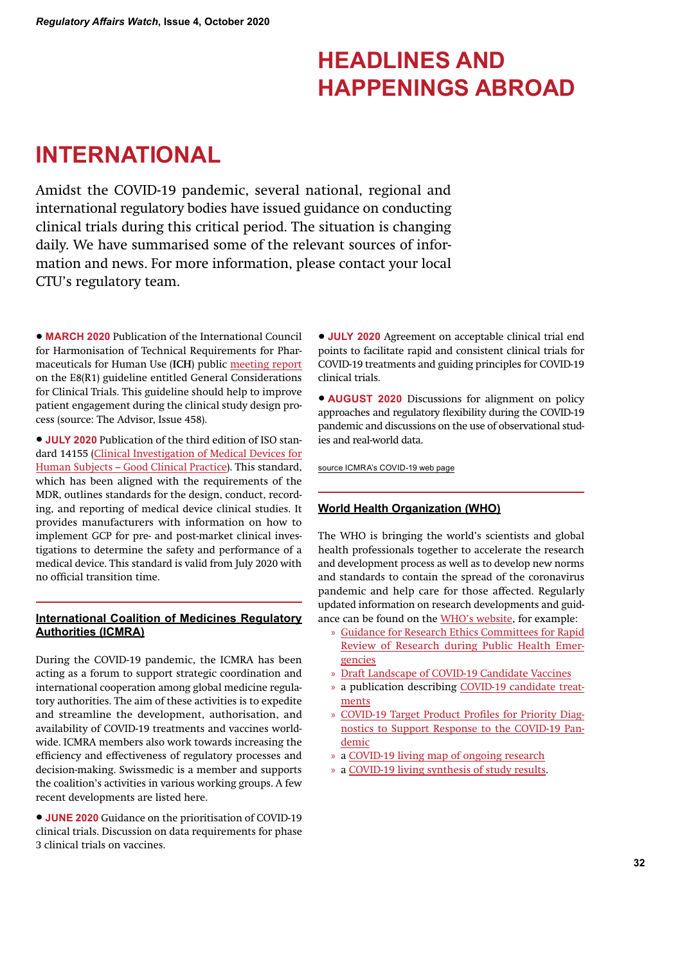# **HEADLINES AND HAPPENINGS ABROAD**

# **INTERNATIONAL**

Amidst the COVID-19 pandemic, several national, regional and international regulatory bodies have issued guidance on conducting clinical trials during this critical period. The situation is changing daily. We have summarised some of the relevant sources of information and news. For more information, please contact your local CTU's regulatory team.

• **MARCH 2020** Publication of the International Council for Harmonisation of Technical Requirements for Pharmaceuticals for Human Use (**ICH**) public meeting report on the E8(R1) guideline entitled General Considerations for Clinical Trials. This guideline should help to improve patient engagement during the clinical study design process (source: The Advisor, Issue 458).

• **JULY 2020** Publication of the third edition of ISO standard 14155 (Clinical Investigation of Medical Devices for Human Subjects – Good Clinical Practice). This standard, which has been aligned with the requirements of the MDR, outlines standards for the design, conduct, recording, and reporting of medical device clinical studies. It provides manufacturers with information on how to implement GCP for pre- and post-market clinical investigations to determine the safety and performance of a medical device. This standard is valid from July 2020 with no official transition time.

# **International Coalition of Medicines Regulatory Authorities (ICMRA)**

During the COVID-19 pandemic, the ICMRA has been acting as a forum to support strategic coordination and international cooperation among global medicine regulatory authorities. The aim of these activities is to expedite and streamline the development, authorisation, and availability of COVID-19 treatments and vaccines worldwide. ICMRA members also work towards increasing the efficiency and effectiveness of regulatory processes and decision-making. Swissmedic is a member and supports the coalition's activities in various working groups. A few recent developments are listed here.

• **JUNE 2020** Guidance on the prioritisation of COVID-19 clinical trials. Discussion on data requirements for phase 3 clinical trials on vaccines.

• **JULY 2020** Agreement on acceptable clinical trial end points to facilitate rapid and consistent clinical trials for COVID-19 treatments and guiding principles for COVID-19 clinical trials.

• **AUGUST 2020** Discussions for alignment on policy approaches and regulatory flexibility during the COVID-19 pandemic and discussions on the use of observational studies and real-world data.

source ICMRA's COVID-19 web page

# **World Health Organization (WHO)**

The WHO is bringing the world's scientists and global health professionals together to accelerate the research and development process as well as to develop new norms and standards to contain the spread of the coronavirus pandemic and help care for those affected. Regularly updated information on research developments and guidance can be found on the WHO's website, for example:

- » Guidance for Research Ethics Committees for Rapid Review of Research during Public Health Emergencies
- » Draft Landscape of COVID-19 Candidate Vaccines
- » a publication describing COVID-19 candidate treatments
- » COVID-19 Target Product Profiles for Priority Diagnostics to Support Response to the COVID-19 Pandemic
- » a COVID-19 living map of ongoing research
- » a COVID-19 living synthesis of study results.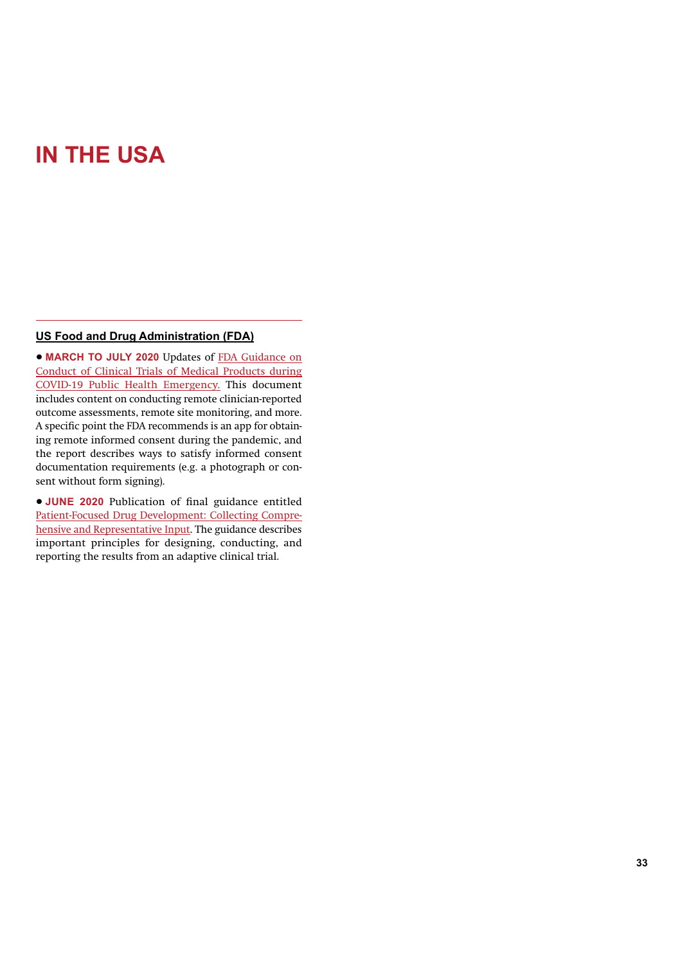# **IN THE USA**

# **US Food and Drug Administration (FDA)**

• **MARCH TO JULY 2020** Updates of FDA Guidance on Conduct of Clinical Trials of Medical Products during COVID-19 Public Health Emergency. This document includes content on conducting remote clinician-reported outcome assessments, remote site monitoring, and more. A specific point the FDA recommends is an app for obtaining remote informed consent during the pandemic, and the report describes ways to satisfy informed consent documentation requirements (e.g. a photograph or consent without form signing).

• **JUNE 2020** Publication of final guidance entitled Patient-Focused Drug Development: Collecting Comprehensive and Representative Input. The guidance describes important principles for designing, conducting, and reporting the results from an adaptive clinical trial.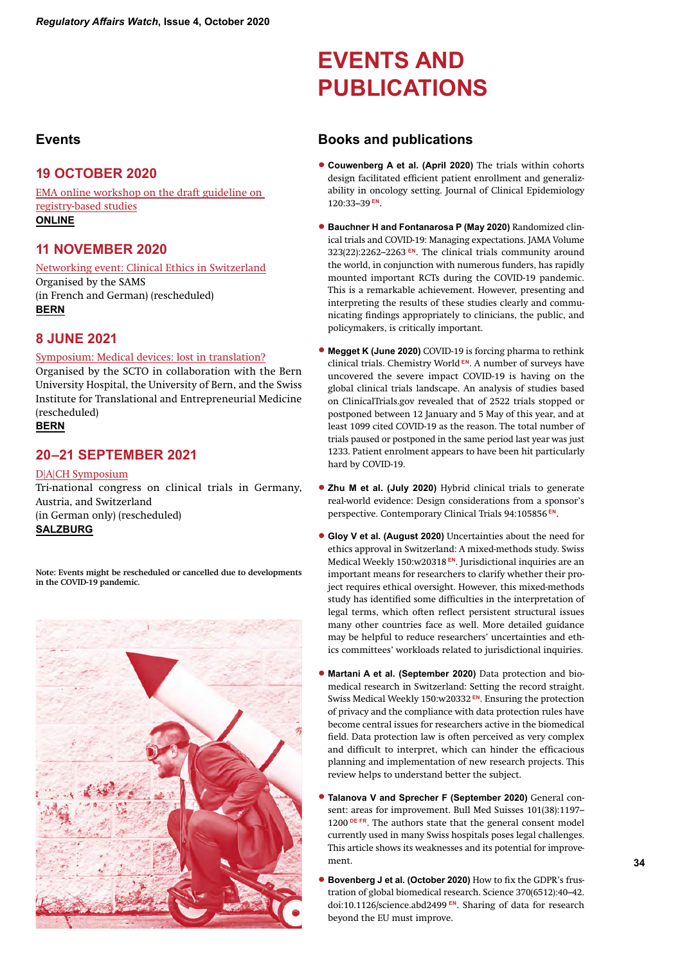# **Events**

# **19 OCTOBER 2020**

EMA online workshop on the draft guideline on registry-based studies **ONLINE**

# **11 NOVEMBER 2020**

Networking event: Clinical Ethics in Switzerland Organised by the SAMS (in French and German) (rescheduled) **BERN**

# **8 JUNE 2021**

### Symposium: Medical devices: lost in translation?

Organised by the SCTO in collaboration with the Bern University Hospital, the University of Bern, and the Swiss Institute for Translational and Entrepreneurial Medicine (rescheduled) **BERN**

# **20–21 SEPTEMBER 2021**

# D|A|CH Symposium

Tri-national congress on clinical trials in Germany, Austria, and Switzerland (in German only) (rescheduled) **SALZBURG**

**Note: Events might be rescheduled or cancelled due to developments in the COVID-19 pandemic.** 



# **EVENTS AND PUBLICATIONS**

# **Books and publications**

- **Couwenberg A et al. (April 2020)** The trials within cohorts design facilitated efficient patient enrollment and generalizability in oncology setting. Journal of Clinical Epidemiology 120:33–39 **EN**.
- **Bauchner H and Fontanarosa P (May 2020)** Randomized clinical trials and COVID-19: Managing expectations. JAMA Volume 323(22):2262–2263 **EN**. The clinical trials community around the world, in conjunction with numerous funders, has rapidly mounted important RCTs during the COVID-19 pandemic. This is a remarkable achievement. However, presenting and interpreting the results of these studies clearly and communicating findings appropriately to clinicians, the public, and policymakers, is critically important.
- **Megget K (June 2020)** COVID-19 is forcing pharma to rethink clinical trials. Chemistry World **EN**. A number of surveys have uncovered the severe impact COVID-19 is having on the global clinical trials landscape. An analysis of studies based on ClinicalTrials.gov revealed that of 2522 trials stopped or postponed between 12 January and 5 May of this year, and at least 1099 cited COVID-19 as the reason. The total number of trials paused or postponed in the same period last year was just 1233. Patient enrolment appears to have been hit particularly hard by COVID-19.
- **Zhu M et al. (July 2020)** Hybrid clinical trials to generate real-world evidence: Design considerations from a sponsor's perspective. Contemporary Clinical Trials 94:105856 **EN**.
- **Gloy V et al. (August 2020)** Uncertainties about the need for ethics approval in Switzerland: A mixed-methods study. Swiss Medical Weekly 150:w20318 **EN**. Jurisdictional inquiries are an important means for researchers to clarify whether their project requires ethical oversight. However, this mixed-methods study has identified some difficulties in the interpretation of legal terms, which often reflect persistent structural issues many other countries face as well. More detailed guidance may be helpful to reduce researchers' uncertainties and ethics committees' workloads related to jurisdictional inquiries.
- **Martani A et al. (September 2020)** Data protection and biomedical research in Switzerland: Setting the record straight. Swiss Medical Weekly 150:w20332 **EN**. Ensuring the protection of privacy and the compliance with data protection rules have become central issues for researchers active in the biomedical field. Data protection law is often perceived as very complex and difficult to interpret, which can hinder the efficacious planning and implementation of new research projects. This review helps to understand better the subject.
- **Talanova V and Sprecher F (September 2020)** General consent: areas for improvement. Bull Med Suisses 101(38):1197– 1200<sup>DE FR</sup>. The authors state that the general consent model currently used in many Swiss hospitals poses legal challenges. This article shows its weaknesses and its potential for improvement.
- **Bovenberg J et al. (October 2020)** How to fix the GDPR's frustration of global biomedical research. Science 370(6512):40–42. doi:10.1126/science.abd2499 **EN**. Sharing of data for research beyond the EU must improve.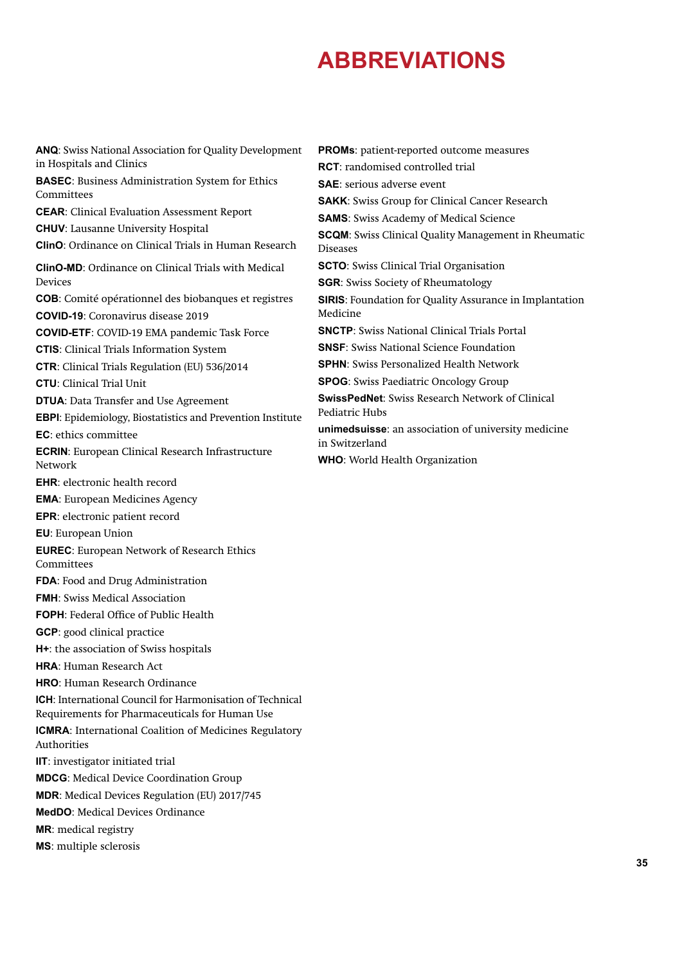# **ABBREVIATIONS**

**ANQ**: Swiss National Association for Quality Development in Hospitals and Clinics **BASEC**: Business Administration System for Ethics Committees **CEAR**: Clinical Evaluation Assessment Report **CHUV**: Lausanne University Hospital **ClinO**: Ordinance on Clinical Trials in Human Research **ClinO-MD**: Ordinance on Clinical Trials with Medical Devices **COB**: Comité opérationnel des biobanques et registres **COVID-19**: Coronavirus disease 2019 **COVID-ETF**: COVID-19 EMA pandemic Task Force **CTIS**: Clinical Trials Information System **CTR**: Clinical Trials Regulation (EU) 536/2014 **CTU**: Clinical Trial Unit **DTUA**: Data Transfer and Use Agreement **EBPI**: Epidemiology, Biostatistics and Prevention Institute **EC**: ethics committee **ECRIN**: European Clinical Research Infrastructure Network **EHR**: electronic health record **EMA**: European Medicines Agency **EPR**: electronic patient record **EU**: European Union **EUREC**: European Network of Research Ethics **Committees FDA**: Food and Drug Administration **FMH**: Swiss Medical Association **FOPH**: Federal Office of Public Health **GCP**: good clinical practice **H+**: the association of Swiss hospitals **HRA**: Human Research Act **HRO**: Human Research Ordinance **ICH**: International Council for Harmonisation of Technical Requirements for Pharmaceuticals for Human Use **ICMRA**: International Coalition of Medicines Regulatory Authorities **IIT**: investigator initiated trial **MDCG**: Medical Device Coordination Group **MDR**: Medical Devices Regulation (EU) 2017/745 **MedDO**: Medical Devices Ordinance **MR**: medical registry **MS**: multiple sclerosis **PROMs**: patient-reported outcome measures

**RCT**: randomised controlled trial **SAE**: serious adverse event **SAKK**: Swiss Group for Clinical Cancer Research **SAMS**: Swiss Academy of Medical Science **SCQM**: Swiss Clinical Quality Management in Rheumatic Diseases **SCTO**: Swiss Clinical Trial Organisation **SGR**: Swiss Society of Rheumatology **SIRIS**: Foundation for Quality Assurance in Implantation Medicine **SNCTP**: Swiss National Clinical Trials Portal **SNSF**: Swiss National Science Foundation **SPHN**: Swiss Personalized Health Network **SPOG**: Swiss Paediatric Oncology Group **SwissPedNet**: Swiss Research Network of Clinical Pediatric Hubs **unimedsuisse**: an association of university medicine in Switzerland **WHO**: World Health Organization